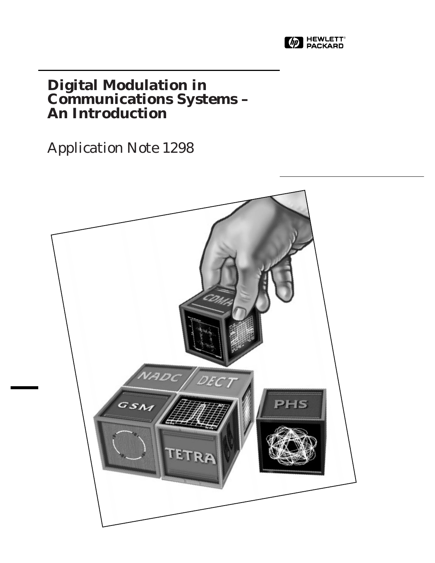

# **Digital Modulation in Communications Systems – An Introduction**

Application Note 1298

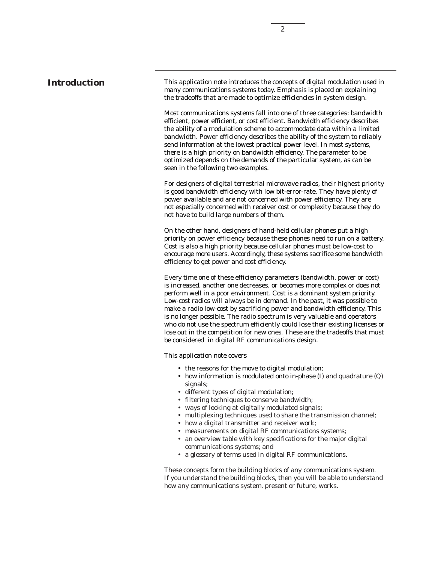## **Introduction**

This application note introduces the concepts of digital modulation used in many communications systems today. Emphasis is placed on explaining the tradeoffs that are made to optimize efficiencies in system design.

Most communications systems fall into one of three categories: bandwidth efficient, power efficient, or cost efficient. Bandwidth efficiency describes the ability of a modulation scheme to accommodate data within a limited bandwidth. Power efficiency describes the ability of the system to reliably send information at the lowest practical power level. In most systems, there is a high priority on bandwidth efficiency. The parameter to be optimized depends on the demands of the particular system, as can be seen in the following two examples.

For designers of digital terrestrial microwave radios, their highest priority is good bandwidth efficiency with low bit-error-rate. They have plenty of power available and are not concerned with power efficiency. They are not especially concerned with receiver cost or complexity because they do not have to build large numbers of them.

On the other hand, designers of hand-held cellular phones put a high priority on power efficiency because these phones need to run on a battery. Cost is also a high priority because cellular phones must be low-cost to encourage more users. Accordingly, these systems sacrifice some bandwidth efficiency to get power and cost efficiency.

Every time one of these efficiency parameters (bandwidth, power or cost) is increased, another one decreases, or becomes more complex or does not perform well in a poor environment. Cost is a dominant system priority. Low-cost radios will always be in demand. In the past, it was possible to make a radio low-cost by sacrificing power and bandwidth efficiency. This is no longer possible. The radio spectrum is very valuable and operators who do not use the spectrum efficiently could lose their existing licenses or lose out in the competition for new ones. These are the tradeoffs that must be considered in digital RF communications design.

This application note covers

- the reasons for the move to digital modulation;
- how information is modulated onto in-phase (*I*) and quadrature (*Q*) signals;
- different types of digital modulation;
- filtering techniques to conserve bandwidth;
- ways of looking at digitally modulated signals;
- multiplexing techniques used to share the transmission channel;
- how a digital transmitter and receiver work;
- measurements on digital RF communications systems;
- an overview table with key specifications for the major digital communications systems; and
- a glossary of terms used in digital RF communications.

These concepts form the building blocks of any communications system. If you understand the building blocks, then you will be able to understand how any communications system, present or future, works.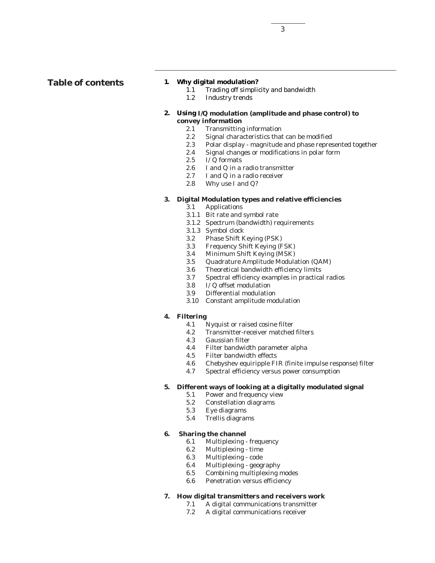### **1. Why digital modulation?**

- 1.1 Trading off simplicity and bandwidth
- 1.2 Industry trends

### **2. Using** *I/Q* **modulation (amplitude and phase control) to convey information**

- 2.1 Transmitting information
- 2.2 Signal characteristics that can be modified
- 2.3 Polar display magnitude and phase represented together<br>2.4 Signal changes or modifications in polar form
- Signal changes or modifications in polar form
- 2.5  $I\overline{Q}$  formats<br>2.6  $I$  and  $Q$  in a
- 2.6 *I* and *Q* in a radio transmitter<br>2.7 *I* and *Q* in a radio receiver
- *I* and *Q* in a radio receiver
- 2.8 Why use *I* and *Q*?

## **3. Digital Modulation types and relative efficiencies**

- 3.1 Applications
- 3.1.1 Bit rate and symbol rate
- 3.1.2 Spectrum (bandwidth) requirements
- 3.1.3 Symbol clock
- 3.2 Phase Shift Keying (PSK)
- 3.3 Frequency Shift Keying (FSK)
- 3.4 Minimum Shift Keying (MSK)
- 3.5 Quadrature Amplitude Modulation (QAM)
- 3.6 Theoretical bandwidth efficiency limits
- 3.7 Spectral efficiency examples in practical radios
- 3.8 *I/Q* offset modulation
- 3.9 Differential modulation
- 3.10 Constant amplitude modulation

## **4. Filtering**

- 4.1 Nyquist or raised cosine filter
- 4.2 Transmitter-receiver matched filters
- 4.3 Gaussian filter
- 4.4 Filter bandwidth parameter alpha
- 4.5 Filter bandwidth effects
- 4.6 Chebyshev equiripple FIR (finite impulse response) filter
- 4.7 Spectral efficiency versus power consumption

## **5. Different ways of looking at a digitally modulated signal**

- 5.1 Power and frequency view<br>5.2 Constellation diagrams
- 5.2 Constellation diagrams<br>5.3 Eve diagrams
- Eye diagrams
- 5.4 Trellis diagrams

## **6. Sharing the channel**

- 6.1 Multiplexing frequency
- 6.2 Multiplexing time
- 6.3 Multiplexing code
- 6.4 Multiplexing geography
- 6.5 Combining multiplexing modes
- 6.6 Penetration versus efficiency

### **7. How digital transmitters and receivers work**

- 7.1 A digital communications transmitter
	- 7.2 A digital communications receiver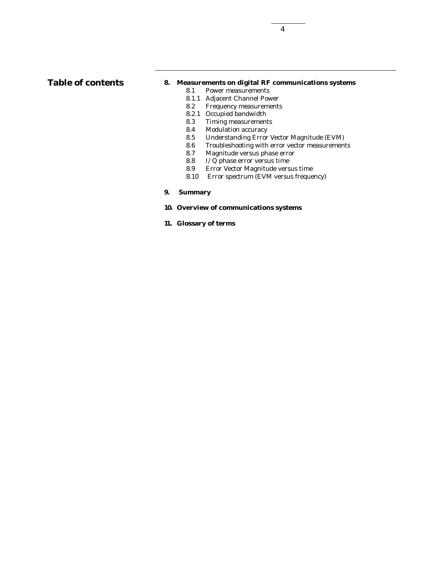## **Table of contents**

## **8. Measurements on digital RF communications systems**

- 8.1 Power measurements
- 8.1.1 Adjacent Channel Power
- 8.2 Frequency measurements
- 8.2.1 Occupied bandwidth
- 8.3 Timing measurements
- 8.4 Modulation accuracy<br>8.5 Understanding Error
- 8.5 Understanding Error Vector Magnitude (EVM)
- 8.6 Troubleshooting with error vector measurements<br>8.7 Magnitude versus phase error
- Magnitude versus phase error
- 8.8 *I/Q* phase error versus time
- 8.9 Error Vector Magnitude versus time
- 8.10 Error spectrum (EVM versus frequency)
- **9. Summary**

## **10. Overview of communications systems**

**11. Glossary of terms**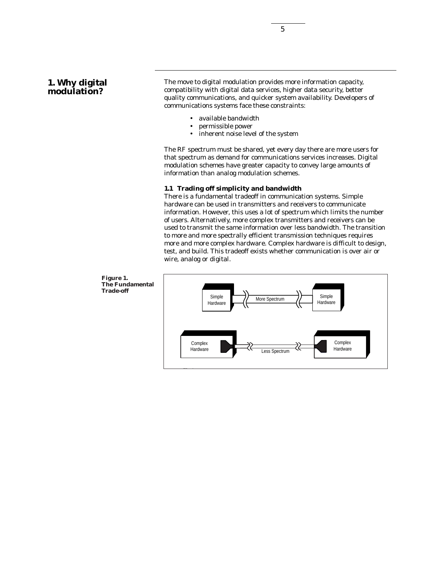## **1. Why digital modulation?**

The move to digital modulation provides more information capacity, compatibility with digital data services, higher data security, better quality communications, and quicker system availability. Developers of communications systems face these constraints:

- available bandwidth
- permissible power
- inherent noise level of the system

The RF spectrum must be shared, yet every day there are more users for that spectrum as demand for communications services increases. Digital modulation schemes have greater capacity to convey large amounts of information than analog modulation schemes.

## **1.1 Trading off simplicity and bandwidth**

There is a fundamental tradeoff in communication systems. Simple hardware can be used in transmitters and receivers to communicate information. However, this uses a lot of spectrum which limits the number of users. Alternatively, more complex transmitters and receivers can be used to transmit the same information over less bandwidth. The transition to more and more spectrally efficient transmission techniques requires more and more complex hardware. Complex hardware is difficult to design, test, and build. This tradeoff exists whether communication is over air or wire, analog or digital.

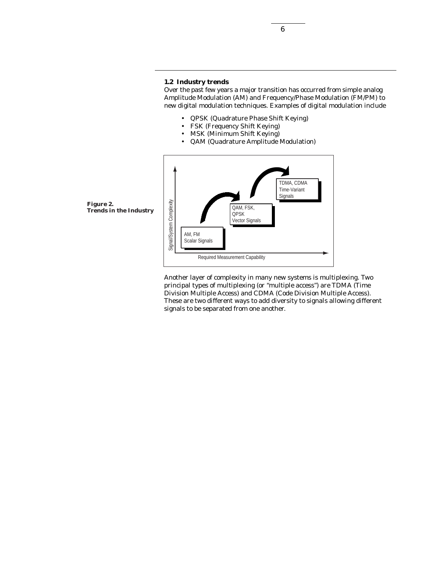Over the past few years a major transition has occurred from simple analog Amplitude Modulation (AM) and Frequency/Phase Modulation (FM/PM) to new digital modulation techniques. Examples of digital modulation include

- QPSK (Quadrature Phase Shift Keying)
- FSK (Frequency Shift Keying)
- MSK (Minimum Shift Keying)
- QAM (Quadrature Amplitude Modulation)



Another layer of complexity in many new systems is multiplexing. Two principal types of multiplexing (or "multiple access") are TDMA (Time Division Multiple Access) and CDMA (Code Division Multiple Access). These are two different ways to add diversity to signals allowing different signals to be separated from one another.

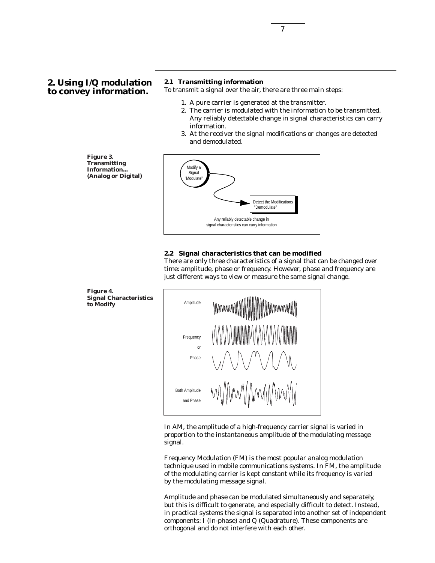#### **2.1 Transmitting information**

To transmit a signal over the air, there are three main steps:

- 1. A pure carrier is generated at the transmitter.
- 2. The carrier is modulated with the information to be transmitted. Any reliably detectable change in signal characteristics can carry information.
- 3. At the receiver the signal modifications or changes are detected and demodulated.

**Figure 3. Transmitting Information... (Analog or Digital)**



#### **2.2 Signal characteristics that can be modified**

There are only three characteristics of a signal that can be changed over time: amplitude, phase or frequency. However, phase and frequency are just different ways to view or measure the same signal change.



In AM, the amplitude of a high-frequency carrier signal is varied in proportion to the instantaneous amplitude of the modulating message signal.

Frequency Modulation (FM) is the most popular analog modulation technique used in mobile communications systems. In FM, the amplitude of the modulating carrier is kept constant while its frequency is varied by the modulating message signal.

Amplitude and phase can be modulated simultaneously and separately, but this is difficult to generate, and especially difficult to detect. Instead, in practical systems the signal is separated into another set of independent components: *I* (In-phase) and *Q* (Quadrature). These components are orthogonal and do not interfere with each other.

**Figure 4. Signal Characteristics to Modify**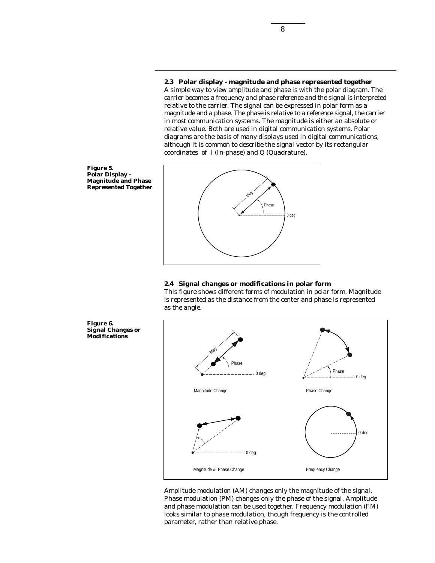**2.3 Polar display - magnitude and phase represented together** A simple way to view amplitude and phase is with the polar diagram. The carrier becomes a frequency and phase reference and the signal is interpreted relative to the carrier. The signal can be expressed in polar form as a magnitude and a phase. The phase is relative to a reference signal, the carrier in most communication systems. The magnitude is either an absolute or relative value. Both are used in digital communication systems. Polar diagrams are the basis of many displays used in digital communications, although it is common to describe the signal vector by its rectangular coordinates of *I* (In-phase) and *Q* (Quadrature).



**Figure 6.**

**Signal Changes or Modifications**



**Mag** 

#### **2.4 Signal changes or modifications in polar form**

This figure shows different forms of modulation in polar form. Magnitude is represented as the distance from the center and phase is represented as the angle.



Amplitude modulation (AM) changes only the magnitude of the signal. Phase modulation (PM) changes only the phase of the signal. Amplitude and phase modulation can be used together. Frequency modulation (FM) looks similar to phase modulation, though frequency is the controlled parameter, rather than relative phase.

8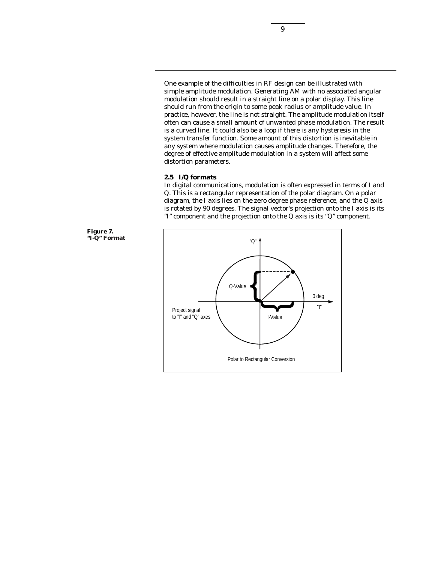One example of the difficulties in RF design can be illustrated with simple amplitude modulation. Generating AM with no associated angular modulation should result in a straight line on a polar display. This line should run from the origin to some peak radius or amplitude value. In practice, however, the line is not straight. The amplitude modulation itself often can cause a small amount of unwanted phase modulation. The result is a curved line. It could also be a loop if there is any hysteresis in the system transfer function. Some amount of this distortion is inevitable in any system where modulation causes amplitude changes. Therefore, the degree of effective amplitude modulation in a system will affect some distortion parameters.

#### **2.5** *I/Q* **formats**

In digital communications, modulation is often expressed in terms of *I* and *Q*. This is a rectangular representation of the polar diagram. On a polar diagram, the *I* axis lies on the zero degree phase reference, and the *Q* axis is rotated by 90 degrees. The signal vector's projection onto the *I* axis is its "I" component and the projection onto the *Q* axis is its "Q" component.



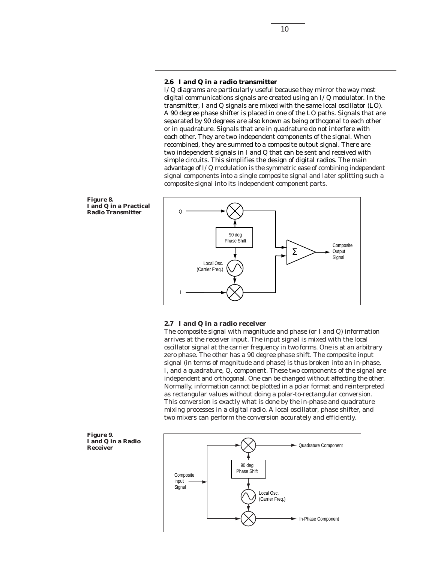### **2.6** *I* **and** *Q* **in a radio transmitter**

*I/Q* diagrams are particularly useful because they mirror the way most digital communications signals are created using an *I/Q* modulator. In the transmitter, *I* and *Q* signals are mixed with the same local oscillator (LO). A 90 degree phase shifter is placed in one of the LO paths. Signals that are separated by 90 degrees are also known as being orthogonal to each other or in quadrature. Signals that are in quadrature do not interfere with each other. They are two independent components of the signal. When recombined, they are summed to a composite output signal. There are two independent signals in *I* and *Q* that can be sent and received with simple circuits. This simplifies the design of digital radios. The main advantage of *I/Q* modulation is the symmetric ease of combining independent signal components into a single composite signal and later splitting such a composite signal into its independent component parts.

**Figure 8.** *I* **and** *Q* **in a Practical Radio Transmitter**



#### **2.7** *I* **and** *Q* **in a radio receiver**

The composite signal with magnitude and phase (or *I* and *Q*) information arrives at the receiver input. The input signal is mixed with the local oscillator signal at the carrier frequency in two forms. One is at an arbitrary zero phase. The other has a 90 degree phase shift. The composite input signal (in terms of magnitude and phase) is thus broken into an in-phase, *I*, and a quadrature, *Q*, component. These two components of the signal are independent and orthogonal. One can be changed without affecting the other. Normally, information cannot be plotted in a polar format and reinterpreted as rectangular values without doing a polar-to-rectangular conversion. This conversion is exactly what is done by the in-phase and quadrature mixing processes in a digital radio. A local oscillator, phase shifter, and two mixers can perform the conversion accurately and efficiently.





10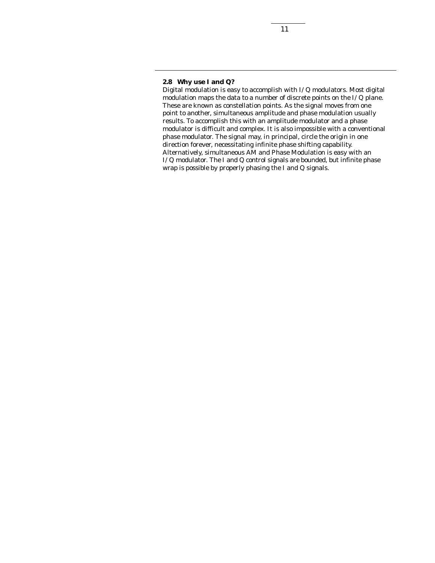## **2.8 Why use** *I* **and** *Q***?**

Digital modulation is easy to accomplish with *I/Q* modulators. Most digital modulation maps the data to a number of discrete points on the *I/Q* plane. These are known as constellation points. As the signal moves from one point to another, simultaneous amplitude and phase modulation usually results. To accomplish this with an amplitude modulator and a phase modulator is difficult and complex. It is also impossible with a conventional phase modulator. The signal may, in principal, circle the origin in one direction forever, necessitating infinite phase shifting capability. Alternatively, simultaneous AM and Phase Modulation is easy with an *I/Q* modulator. The *I* and *Q* control signals are bounded, but infinite phase wrap is possible by properly phasing the *I* and *Q* signals.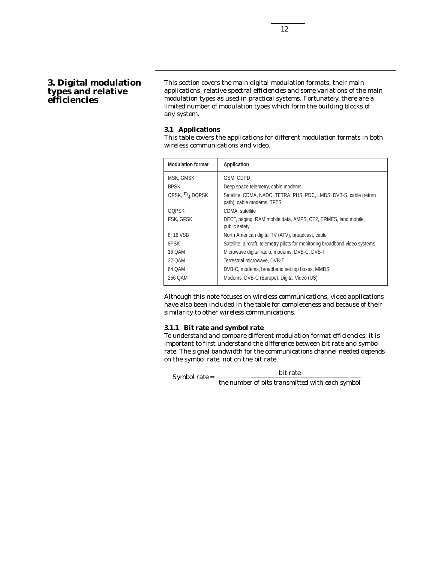## **3. Digital modulation types and relative efficiencies**

This section covers the main digital modulation formats, their main applications, relative spectral efficiencies and some variations of the main modulation types as used in practical systems. Fortunately, there are a limited number of modulation types which form the building blocks of any system.

#### **3.1 Applications**

This table covers the applications for different modulation formats in both wireless communications and video.

| <b>Modulation format</b> | Application                                                                                     |
|--------------------------|-------------------------------------------------------------------------------------------------|
| MSK, GMSK                | GSM, CDPD                                                                                       |
| <b>BPSK</b>              | Deep space telemetry, cable modems                                                              |
| QPSK, $\pi_{4}$ DQPSK    | Satellite, CDMA, NADC, TETRA, PHS, PDC, LMDS, DVB-S, cable (return<br>path), cable modems, TFTS |
| <b>OOPSK</b>             | CDMA, satellite                                                                                 |
| FSK, GFSK                | DECT, paging, RAM mobile data, AMPS, CT2, ERMES, land mobile,<br>public safety                  |
| 8, 16 VSB                | North American digital TV (ATV), broadcast, cable                                               |
| 8PSK                     | Satellite, aircraft, telemetry pilots for monitoring broadband video systems                    |
| 16 QAM                   | Microwave digital radio, modems, DVB-C, DVB-T                                                   |
| 32 QAM                   | Terrestrial microwave, DVB-T                                                                    |
| 64 QAM                   | DVB-C, modems, broadband set top boxes, MMDS                                                    |
| 256 QAM                  | Modems, DVB-C (Europe), Digital Video (US)                                                      |

Although this note focuses on wireless communications, video applications have also been included in the table for completeness and because of their similarity to other wireless communications.

#### **3.1.1 Bit rate and symbol rate**

To understand and compare different modulation format efficiencies, it is important to first understand the difference between bit rate and symbol rate. The signal bandwidth for the communications channel needed depends on the symbol rate, not on the bit rate.

*Symbol rate = bit rate*

*the number of bits transmitted with each symbol*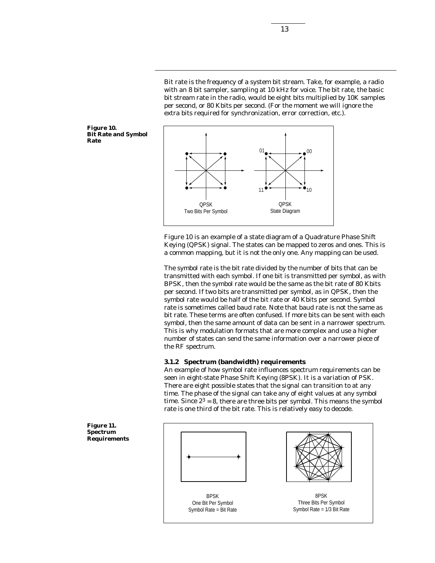Bit rate is the frequency of a system bit stream. Take, for example, a radio with an 8 bit sampler, sampling at 10 kHz for voice. The bit rate, the basic bit stream rate in the radio, would be eight bits multiplied by 10K samples per second, or 80 Kbits per second. (For the moment we will ignore the extra bits required for synchronization, error correction, etc.).

 $01$  00

 $11$  10

QPSK State Diagram

**Figure 10. Bit Rate and Symbol Rate**



The symbol rate is the bit rate divided by the number of bits that can be transmitted with each symbol. If one bit is transmitted per symbol, as with BPSK, then the symbol rate would be the same as the bit rate of 80 Kbits per second. If two bits are transmitted per symbol, as in QPSK, then the symbol rate would be half of the bit rate or 40 Kbits per second. Symbol rate is sometimes called baud rate. Note that baud rate is not the same as bit rate. These terms are often confused. If more bits can be sent with each symbol, then the same amount of data can be sent in a narrower spectrum. This is why modulation formats that are more complex and use a higher number of states can send the same information over a narrower piece of the RF spectrum.

#### **3.1.2 Spectrum (bandwidth) requirements**

QPSK Two Bits Per Symbol

An example of how symbol rate influences spectrum requirements can be seen in eight-state Phase Shift Keying (8PSK). It is a variation of PSK. There are eight possible states that the signal can transition to at any time. The phase of the signal can take any of eight values at any symbol time. Since  $2^3 = 8$ , there are three bits per symbol. This means the symbol rate is one third of the bit rate. This is relatively easy to decode.

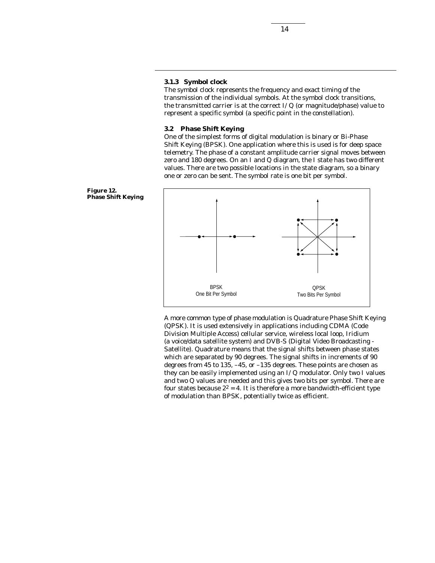## **3.1.3 Symbol clock**

The symbol clock represents the frequency and exact timing of the transmission of the individual symbols. At the symbol clock transitions, the transmitted carrier is at the correct *I/Q* (or magnitude/phase) value to represent a specific symbol (a specific point in the constellation).

#### **3.2 Phase Shift Keying**

One of the simplest forms of digital modulation is binary or Bi-Phase Shift Keying (BPSK). One application where this is used is for deep space telemetry. The phase of a constant amplitude carrier signal moves between zero and 180 degrees. On an *I* and *Q* diagram, the *I* state has two different values. There are two possible locations in the state diagram, so a binary one or zero can be sent. The symbol rate is one bit per symbol.



A more common type of phase modulation is Quadrature Phase Shift Keying (QPSK). It is used extensively in applications including CDMA (Code Division Multiple Access) cellular service, wireless local loop, Iridium (a voice/data satellite system) and DVB-S (Digital Video Broadcasting - Satellite). Quadrature means that the signal shifts between phase states which are separated by 90 degrees. The signal shifts in increments of 90 degrees from 45 to 135, –45, or –135 degrees. These points are chosen as they can be easily implemented using an *I/Q* modulator. Only two *I* values and two *Q* values are needed and this gives two bits per symbol. There are four states because  $2^2 = 4$ . It is therefore a more bandwidth-efficient type of modulation than BPSK, potentially twice as efficient.

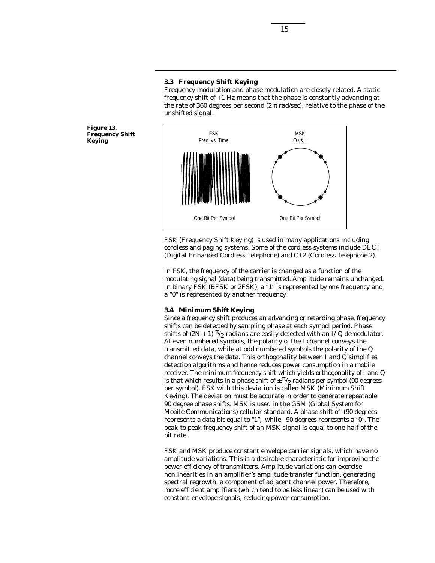#### **3.3 Frequency Shift Keying**

Frequency modulation and phase modulation are closely related. A static frequency shift of +1 Hz means that the phase is constantly advancing at the rate of 360 degrees per second (2  $\pi$  rad/sec), relative to the phase of the unshifted signal.

**Figure 13. Frequency Shift Keying**



FSK (Frequency Shift Keying) is used in many applications including cordless and paging systems. Some of the cordless systems include DECT (Digital Enhanced Cordless Telephone) and CT2 (Cordless Telephone 2).

In FSK, the frequency of the carrier is changed as a function of the modulating signal (data) being transmitted. Amplitude remains unchanged. In binary FSK (BFSK or 2FSK), a "1" is represented by one frequency and a "0" is represented by another frequency.

#### **3.4 Minimum Shift Keying**

Since a frequency shift produces an advancing or retarding phase, frequency shifts can be detected by sampling phase at each symbol period. Phase shifts of  $(2N + 1)$   $\pi/2$  radians are easily detected with an  $I/Q$  demodulator. At even numbered symbols, the polarity of the *I* channel conveys the transmitted data, while at odd numbered symbols the polarity of the *Q* channel conveys the data. This orthogonality between *I* and *Q* simplifies detection algorithms and hence reduces power consumption in a mobile receiver. The minimum frequency shift which yields orthogonality of *I* and *Q* is that which results in a phase shift of  $\pm \frac{\pi}{2}$  radians per symbol (90 degrees per symbol). FSK with this deviation is called MSK (Minimum Shift Keying). The deviation must be accurate in order to generate repeatable 90 degree phase shifts. MSK is used in the GSM (Global System for Mobile Communications) cellular standard. A phase shift of +90 degrees represents a data bit equal to "1", while –90 degrees represents a "0". The peak-to-peak frequency shift of an MSK signal is equal to one-half of the bit rate.

FSK and MSK produce constant envelope carrier signals, which have no amplitude variations. This is a desirable characteristic for improving the power efficiency of transmitters. Amplitude variations can exercise nonlinearities in an amplifier's amplitude-transfer function, generating spectral regrowth, a component of adjacent channel power. Therefore, more efficient amplifiers (which tend to be less linear) can be used with constant-envelope signals, reducing power consumption.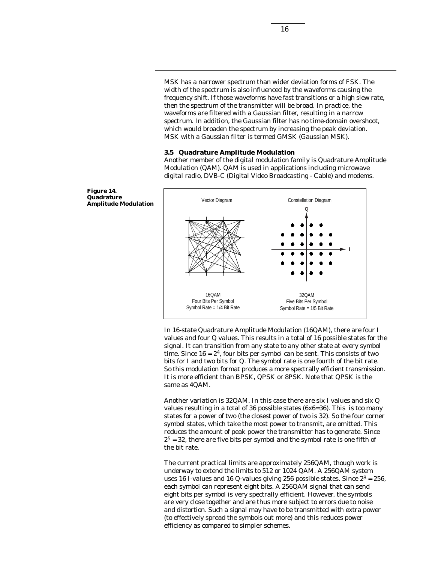MSK has a narrower spectrum than wider deviation forms of FSK. The width of the spectrum is also influenced by the waveforms causing the frequency shift. If those waveforms have fast transitions or a high slew rate, then the spectrum of the transmitter will be broad. In practice, the waveforms are filtered with a Gaussian filter, resulting in a narrow spectrum. In addition, the Gaussian filter has no time-domain overshoot, which would broaden the spectrum by increasing the peak deviation. MSK with a Gaussian filter is termed GMSK (Gaussian MSK).

#### **3.5 Quadrature Amplitude Modulation**

Another member of the digital modulation family is Quadrature Amplitude Modulation (QAM). QAM is used in applications including microwave digital radio, DVB-C (Digital Video Broadcasting - Cable) and modems.



In 16-state Quadrature Amplitude Modulation (16QAM), there are four *I* values and four *Q* values. This results in a total of 16 possible states for the signal. It can transition from any state to any other state at every symbol time. Since  $16 = 2<sup>4</sup>$ , four bits per symbol can be sent. This consists of two bits for *I* and two bits for *Q*. The symbol rate is one fourth of the bit rate. So this modulation format produces a more spectrally efficient transmission. It is more efficient than BPSK, QPSK or 8PSK. Note that QPSK is the same as 4QAM.

Another variation is 32QAM. In this case there are six *I* values and six *Q* values resulting in a total of 36 possible states (6x6=36). This is too many states for a power of two (the closest power of two is 32). So the four corner symbol states, which take the most power to transmit, are omitted. This reduces the amount of peak power the transmitter has to generate. Since  $2<sup>5</sup> = 32$ , there are five bits per symbol and the symbol rate is one fifth of the bit rate.

The current practical limits are approximately 256QAM, though work is underway to extend the limits to 512 or 1024 QAM. A 256QAM system uses 16 *I*-values and 16 *Q*-values giving 256 possible states. Since  $2^8 = 256$ , each symbol can represent eight bits. A 256QAM signal that can send eight bits per symbol is very spectrally efficient. However, the symbols are very close together and are thus more subject to errors due to noise and distortion. Such a signal may have to be transmitted with extra power (to effectively spread the symbols out more) and this reduces power efficiency as compared to simpler schemes.

**Figure 14. Quadrature Amplitude Modulation**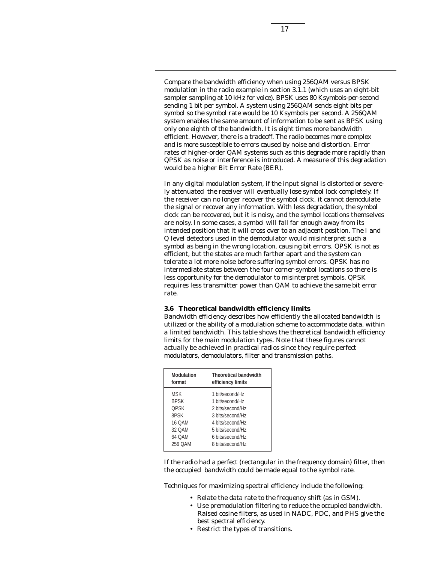Compare the bandwidth efficiency when using 256QAM versus BPSK modulation in the radio example in section 3.1.1 (which uses an eight-bit sampler sampling at 10 kHz for voice). BPSK uses 80 Ksymbols-per-second sending 1 bit per symbol. A system using 256QAM sends eight bits per symbol so the symbol rate would be 10 Ksymbols per second. A 256QAM system enables the same amount of information to be sent as BPSK using only one eighth of the bandwidth. It is eight times more bandwidth efficient. However, there is a tradeoff. The radio becomes more complex and is more susceptible to errors caused by noise and distortion. Error rates of higher-order QAM systems such as this degrade more rapidly than QPSK as noise or interference is introduced. A measure of this degradation would be a higher Bit Error Rate (BER).

In any digital modulation system, if the input signal is distorted or severely attenuated the receiver will eventually lose symbol lock completely. If the receiver can no longer recover the symbol clock, it cannot demodulate the signal or recover any information. With less degradation, the symbol clock can be recovered, but it is noisy, and the symbol locations themselves are noisy. In some cases, a symbol will fall far enough away from its intended position that it will cross over to an adjacent position. The *I* and *Q* level detectors used in the demodulator would misinterpret such a symbol as being in the wrong location, causing bit errors. QPSK is not as efficient, but the states are much farther apart and the system can tolerate a lot more noise before suffering symbol errors. QPSK has no intermediate states between the four corner-symbol locations so there is less opportunity for the demodulator to misinterpret symbols. QPSK requires less transmitter power than QAM to achieve the same bit error rate.

#### **3.6 Theoretical bandwidth efficiency limits**

Bandwidth efficiency describes how efficiently the allocated bandwidth is utilized or the ability of a modulation scheme to accommodate data, within a limited bandwidth. This table shows the theoretical bandwidth efficiency limits for the main modulation types. Note that these figures cannot actually be achieved in practical radios since they require perfect modulators, demodulators, filter and transmission paths.

| <b>Theoretical bandwidth</b><br>efficiency limits |
|---------------------------------------------------|
| 1 bit/second/Hz                                   |
| 1 bit/second/Hz                                   |
| 2 bits/second/Hz                                  |
| 3 bits/second/Hz                                  |
| 4 bits/second/Hz                                  |
| 5 bits/second/Hz                                  |
| 6 bits/second/Hz                                  |
| 8 bits/second/Hz                                  |
|                                                   |

If the radio had a perfect (rectangular in the frequency domain) filter, then the occupied bandwidth could be made equal to the symbol rate.

Techniques for maximizing spectral efficiency include the following:

- Relate the data rate to the frequency shift (as in GSM).
- Use premodulation filtering to reduce the occupied bandwidth. Raised cosine filters, as used in NADC, PDC, and PHS give the best spectral efficiency.
- Restrict the types of transitions.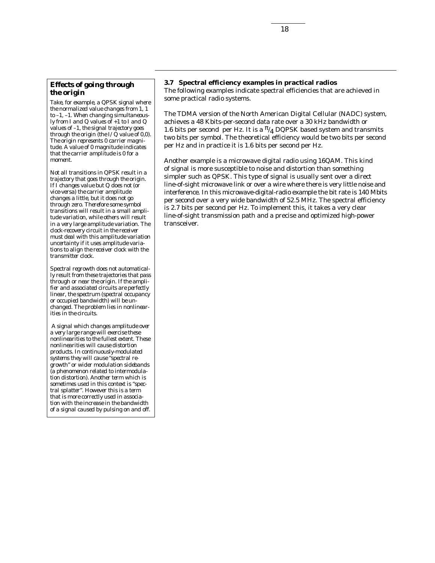### *Effects of going through the origin*

*Take, for example, a QPSK signal where the normalized value changes from 1, 1 to –1, –1. When changing simultaneously from I and Q values of +1 to I and Q values of –1, the signal trajectory goes through the origin (the I/Q value of 0,0). The origin represents 0 carrier magnitude. A value of 0 magnitude indicates that the carrier amplitude is 0 for a moment.*

*Not all transitions in QPSK result in a trajectory that goes through the origin. If I changes value but Q does not (or vice-versa) the carrier amplitude changes a little, but it does not go through zero. Therefore some symbol transitions will result in a small amplitude variation, while others will result in a very large amplitude variation. The clock-recovery circuit in the receiver must deal with this amplitude variation uncertainty if it uses amplitude variations to align the receiver clock with the transmitter clock.* 

*Spectral regrowth does not automatically result from these trajectories that pass through or near the origin. If the amplifier and associated circuits are perfectly linear, the spectrum (spectral occupancy or occupied bandwidth) will be unchanged. The problem lies in nonlinearities in the circuits.* 

*A signal which changes amplitude over a very large range will exercise these nonlinearities to the fullest extent. These nonlinearities will cause distortion products. In continuously-modulated systems they will cause "spectral regrowth" or wider modulation sidebands (a phenomenon related to intermodulation distortion). Another term which is sometimes used in this context is "spectral splatter". However this is a term that is more correctly used in association with the increase in the bandwidth of a signal caused by pulsing on and off.*

## **3.7 Spectral efficiency examples in practical radios**

The following examples indicate spectral efficiencies that are achieved in some practical radio systems.

The TDMA version of the North American Digital Cellular (NADC) system, achieves a 48 Kbits-per-second data rate over a 30 kHz bandwidth or 1.6 bits per second per Hz. It is a  $\frac{\pi}{4}$  DQPSK based system and transmits two bits per symbol. The theoretical efficiency would be two bits per second per Hz and in practice it is 1.6 bits per second per Hz.

Another example is a microwave digital radio using 16QAM. This kind of signal is more susceptible to noise and distortion than something simpler such as QPSK. This type of signal is usually sent over a direct line-of-sight microwave link or over a wire where there is very little noise and interference. In this microwave-digital-radio example the bit rate is 140 Mbits per second over a very wide bandwidth of 52.5 MHz. The spectral efficiency is 2.7 bits per second per Hz. To implement this, it takes a very clear line-of-sight transmission path and a precise and optimized high-power transceiver.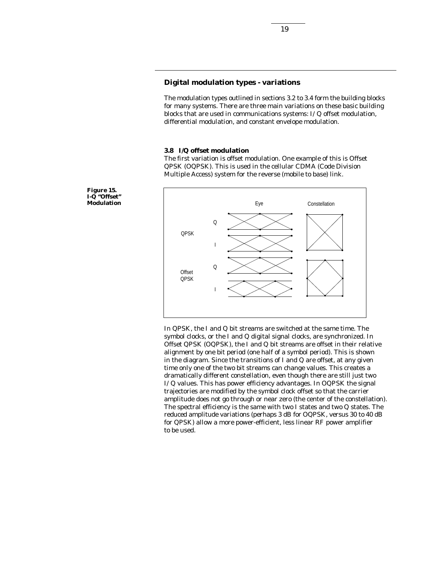## **Digital modulation types - variations**

The modulation types outlined in sections 3.2 to 3.4 form the building blocks for many systems. There are three main variations on these basic building blocks that are used in communications systems: *I/Q* offset modulation, differential modulation, and constant envelope modulation.

#### **3.8** *I/Q* **offset modulation**

The first variation is offset modulation. One example of this is Offset QPSK (OQPSK). This is used in the cellular CDMA (Code Division Multiple Access) system for the reverse (mobile to base) link.



In QPSK, the *I* and *Q* bit streams are switched at the same time. The symbol clocks, or the *I* and *Q* digital signal clocks, are synchronized. In Offset QPSK (OQPSK), the *I* and *Q* bit streams are offset in their relative alignment by one bit period (one half of a symbol period). This is shown in the diagram. Since the transitions of *I* and *Q* are offset, at any given time only one of the two bit streams can change values. This creates a dramatically different constellation, even though there are still just two *I/Q* values. This has power efficiency advantages. In OQPSK the signal trajectories are modified by the symbol clock offset so that the carrier amplitude does not go through or near zero (the center of the constellation). The spectral efficiency is the same with two *I* states and two *Q* states. The reduced amplitude variations (perhaps 3 dB for OQPSK, versus 30 to 40 dB for QPSK) allow a more power-efficient, less linear RF power amplifier to be used.

**Figure 15.** *I-Q* **"Offset" Modulation**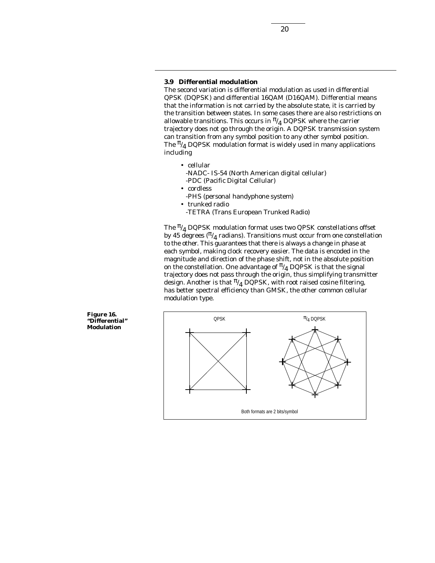#### **3.9 Differential modulation**

The second variation is differential modulation as used in differential QPSK (DQPSK) and differential 16QAM (D16QAM). Differential means that the information is not carried by the absolute state, it is carried by the transition between states. In some cases there are also restrictions on allowable transitions. This occurs in  $\frac{\pi}{4}$  DQPSK where the carrier trajectory does not go through the origin. A DQPSK transmission system can transition from any symbol position to any other symbol position. The  $\frac{\pi}{4}$  DQPSK modulation format is widely used in many applications including

- cellular -NADC- IS-54 (North American digital cellular) -PDC (Pacific Digital Cellular)
- cordless
	- -PHS (personal handyphone system)
	- trunked radio
	- -TETRA (Trans European Trunked Radio)

The  $\frac{\pi}{4}$  DQPSK modulation format uses two QPSK constellations offset by 45 degrees ( $\pi/_{\textbf{4}}$  radians). Transitions must occur from one constellation to the other. This guarantees that there is always a change in phase at each symbol, making clock recovery easier. The data is encoded in the magnitude and direction of the phase shift, not in the absolute position on the constellation. One advantage of  $\frac{\pi}{4}$  DQPSK is that the signal trajectory does not pass through the origin, thus simplifying transmitter design. Another is that  $\frac{\pi}{4}$  DQPSK, with root raised cosine filtering, has better spectral efficiency than GMSK, the other common cellular modulation type.



**Figure 16. "Differential" Modulation**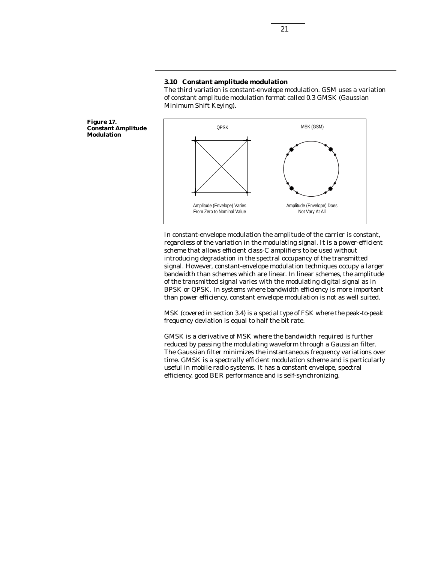#### **3.10 Constant amplitude modulation**

The third variation is constant-envelope modulation. GSM uses a variation of constant amplitude modulation format called 0.3 GMSK (Gaussian Minimum Shift Keying).

**Figure 17. Constant Amplitude Modulation**



In constant-envelope modulation the amplitude of the carrier is constant, regardless of the variation in the modulating signal. It is a power-efficient scheme that allows efficient class-C amplifiers to be used without introducing degradation in the spectral occupancy of the transmitted signal. However, constant-envelope modulation techniques occupy a larger bandwidth than schemes which are linear. In linear schemes, the amplitude of the transmitted signal varies with the modulating digital signal as in BPSK or QPSK. In systems where bandwidth efficiency is more important than power efficiency, constant envelope modulation is not as well suited.

MSK (covered in section 3.4) is a special type of FSK where the peak-to-peak frequency deviation is equal to half the bit rate.

GMSK is a derivative of MSK where the bandwidth required is further reduced by passing the modulating waveform through a Gaussian filter. The Gaussian filter minimizes the instantaneous frequency variations over time. GMSK is a spectrally efficient modulation scheme and is particularly useful in mobile radio systems. It has a constant envelope, spectral efficiency, good BER performance and is self-synchronizing.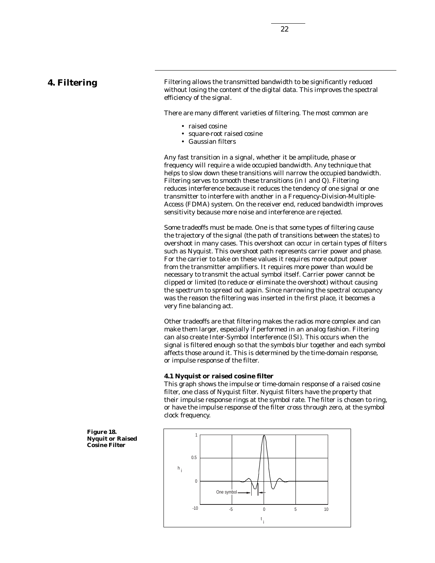## **4. Filtering**

Filtering allows the transmitted bandwidth to be significantly reduced without losing the content of the digital data. This improves the spectral efficiency of the signal.

There are many different varieties of filtering. The most common are

- raised cosine
- square-root raised cosine
- Gaussian filters

Any fast transition in a signal, whether it be amplitude, phase or frequency will require a wide occupied bandwidth. Any technique that helps to slow down these transitions will narrow the occupied bandwidth. Filtering serves to smooth these transitions (in *I* and *Q*). Filtering reduces interference because it reduces the tendency of one signal or one transmitter to interfere with another in a Frequency-Division-Multiple-Access (FDMA) system. On the receiver end, reduced bandwidth improves sensitivity because more noise and interference are rejected.

Some tradeoffs must be made. One is that some types of filtering cause the trajectory of the signal (the path of transitions between the states) to overshoot in many cases. This overshoot can occur in certain types of filters such as Nyquist. This overshoot path represents carrier power and phase. For the carrier to take on these values it requires more output power from the transmitter amplifiers. It requires more power than would be necessary to transmit the actual symbol itself. Carrier power cannot be clipped or limited (to reduce or eliminate the overshoot) without causing the spectrum to spread out again. Since narrowing the spectral occupancy was the reason the filtering was inserted in the first place, it becomes a very fine balancing act.

Other tradeoffs are that filtering makes the radios more complex and can make them larger, especially if performed in an analog fashion. Filtering can also create Inter-Symbol Interference (ISI). This occurs when the signal is filtered enough so that the symbols blur together and each symbol affects those around it. This is determined by the time-domain response, or impulse response of the filter.

#### **4.1 Nyquist or raised cosine filter**

This graph shows the impulse or time-domain response of a raised cosine filter, one class of Nyquist filter. Nyquist filters have the property that their impulse response rings at the symbol rate. The filter is chosen to ring, or have the impulse response of the filter cross through zero, at the symbol clock frequency.



**Figure 18. Nyquit or Raised Cosine Filter**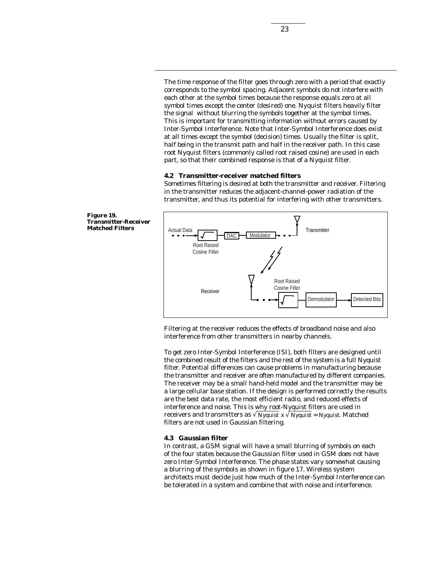The time response of the filter goes through zero with a period that exactly corresponds to the symbol spacing. Adjacent symbols do not interfere with each other at the symbol times because the response equals zero at all symbol times except the center (desired) one. Nyquist filters heavily filter the signal without blurring the symbols together at the symbol times. This is important for transmitting information without errors caused by Inter-Symbol Interference. Note that Inter-Symbol Interference does exist at all times except the symbol (decision) times. Usually the filter is split, half being in the transmit path and half in the receiver path. In this case root Nyquist filters (commonly called root raised cosine) are used in each part, so that their combined response is that of a Nyquist filter.

#### **4.2 Transmitter-receiver matched filters**

Sometimes filtering is desired at both the transmitter and receiver. Filtering in the transmitter reduces the adjacent-channel-power radiation of the transmitter, and thus its potential for interfering with other transmitters.





Filtering at the receiver reduces the effects of broadband noise and also interference from other transmitters in nearby channels.

To get zero Inter-Symbol Interference (ISI), both filters are designed until the combined result of the filters and the rest of the system is a full Nyquist filter. Potential differences can cause problems in manufacturing because the transmitter and receiver are often manufactured by different companies. The receiver may be a small hand-held model and the transmitter may be a large cellular base station. If the design is performed correctly the results are the best data rate, the most efficient radio, and reduced effects of interference and noise. This is why root-Nyquist filters are used in receivers and transmitters as  $\sqrt{Nyquist} x \sqrt{Nyquist} = Nyquist$ . Matched filters are not used in Gaussian filtering.

#### **4.3 Gaussian filter**

In contrast, a GSM signal will have a small blurring of symbols on each of the four states because the Gaussian filter used in GSM does not have zero Inter-Symbol Interference. The phase states vary somewhat causing a blurring of the symbols as shown in figure 17. Wireless system architects must decide just how much of the Inter-Symbol Interference can be tolerated in a system and combine that with noise and interference.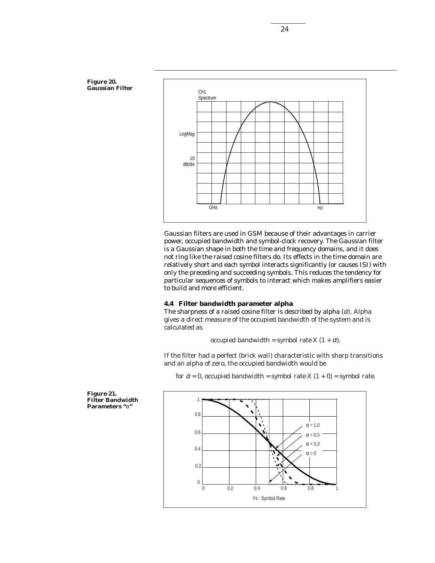

Gaussian filters are used in GSM because of their advantages in carrier power, occupied bandwidth and symbol-clock recovery. The Gaussian filter is a Gaussian shape in both the time and frequency domains, and it does not ring like the raised cosine filters do. Its effects in the time domain are relatively short and each symbol interacts significantly (or causes ISI) with only the preceding and succeeding symbols. This reduces the tendency for particular sequences of symbols to interact which makes amplifiers easier to build and more efficient.

#### **4.4 Filter bandwidth parameter alpha**

The sharpness of a raised cosine filter is described by alpha  $(\alpha)$ . Alpha gives a direct measure of the occupied bandwidth of the system and is calculated as

*occupied bandwidth = symbol rate*  $X$   $(1 + \alpha)$ .

If the filter had a perfect (brick wall) characteristic with sharp transitions and an alpha of zero, the occupied bandwidth would be

*for*  $\alpha = 0$ *, occupied bandwidth = symbol rate*  $X(1 + 0) =$  *symbol rate.* 



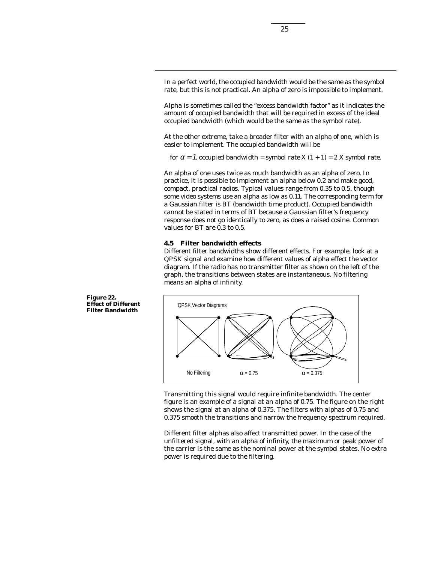In a perfect world, the occupied bandwidth would be the same as the symbol rate, but this is not practical. An alpha of zero is impossible to implement.

Alpha is sometimes called the "excess bandwidth factor" as it indicates the amount of occupied bandwidth that will be required in excess of the ideal occupied bandwidth (which would be the same as the symbol rate).

At the other extreme, take a broader filter with an alpha of one, which is easier to implement. The occupied bandwidth will be

*for*  $\alpha = 1$ *, occupied bandwidth = symbol rate X*  $(1 + 1) = 2X$  *symbol rate.* 

An alpha of one uses twice as much bandwidth as an alpha of zero. In practice, it is possible to implement an alpha below 0.2 and make good, compact, practical radios. Typical values range from 0.35 to 0.5, though some video systems use an alpha as low as 0.11. The corresponding term for a Gaussian filter is BT (bandwidth time product). Occupied bandwidth cannot be stated in terms of BT because a Gaussian filter's frequency response does not go identically to zero, as does a raised cosine. Common values for BT are 0.3 to 0.5.

#### **4.5 Filter bandwidth effects**

Different filter bandwidths show different effects. For example, look at a QPSK signal and examine how different values of alpha effect the vector diagram. If the radio has no transmitter filter as shown on the left of the graph, the transitions between states are instantaneous. No filtering means an alpha of infinity.



Transmitting this signal would require infinite bandwidth. The center figure is an example of a signal at an alpha of 0.75. The figure on the right shows the signal at an alpha of 0.375. The filters with alphas of 0.75 and 0.375 smooth the transitions and narrow the frequency spectrum required.

Different filter alphas also affect transmitted power. In the case of the unfiltered signal, with an alpha of infinity, the maximum or peak power of the carrier is the same as the nominal power at the symbol states. No extra power is required due to the filtering.

**Figure 22. Effect of Different Filter Bandwidth**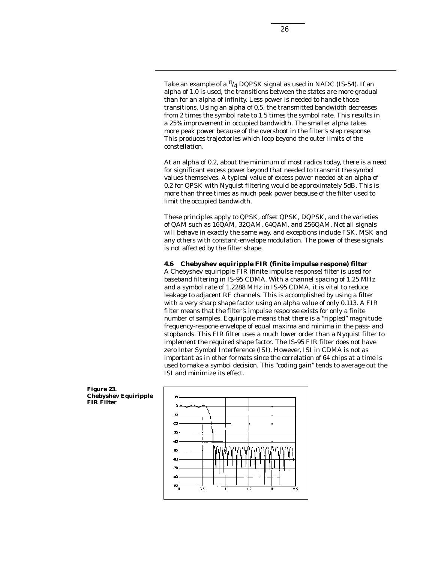Take an example of a  $\frac{\pi}{4}$  DQPSK signal as used in NADC (IS-54). If an alpha of 1.0 is used, the transitions between the states are more gradual than for an alpha of infinity. Less power is needed to handle those transitions. Using an alpha of 0.5, the transmitted bandwidth decreases from 2 times the symbol rate to 1.5 times the symbol rate. This results in a 25% improvement in occupied bandwidth. The smaller alpha takes more peak power because of the overshoot in the filter's step response. This produces trajectories which loop beyond the outer limits of the constellation.

At an alpha of 0.2, about the minimum of most radios today, there is a need for significant excess power beyond that needed to transmit the symbol values themselves. A typical value of excess power needed at an alpha of 0.2 for QPSK with Nyquist filtering would be approximately 5dB. This is more than three times as much peak power because of the filter used to limit the occupied bandwidth.

These principles apply to QPSK, offset QPSK, DQPSK, and the varieties of QAM such as 16QAM, 32QAM, 64QAM, and 256QAM. Not all signals will behave in exactly the same way, and exceptions include FSK, MSK and any others with constant-envelope modulation. The power of these signals is not affected by the filter shape.

#### **4.6 Chebyshev equiripple FIR (finite impulse respone) filter**

A Chebyshev equiripple FIR (finite impulse response) filter is used for baseband filtering in IS-95 CDMA. With a channel spacing of 1.25 MHz and a symbol rate of 1.2288 MHz in IS-95 CDMA, it is vital to reduce leakage to adjacent RF channels. This is accomplished by using a filter with a very sharp shape factor using an alpha value of only 0.113. A FIR filter means that the filter's impulse response exists for only a finite number of samples. Equiripple means that there is a "rippled" magnitude frequency-respone envelope of equal maxima and minima in the pass- and stopbands. This FIR filter uses a much lower order than a Nyquist filter to implement the required shape factor. The IS-95 FIR filter does not have zero Inter Symbol Interference (ISI). However, ISI in CDMA is not as important as in other formats since the correlation of 64 chips at a time is used to make a symbol decision. This "coding gain" tends to average out the ISI and minimize its effect.



**Figure 23. Chebyshev Equiripple FIR Filter**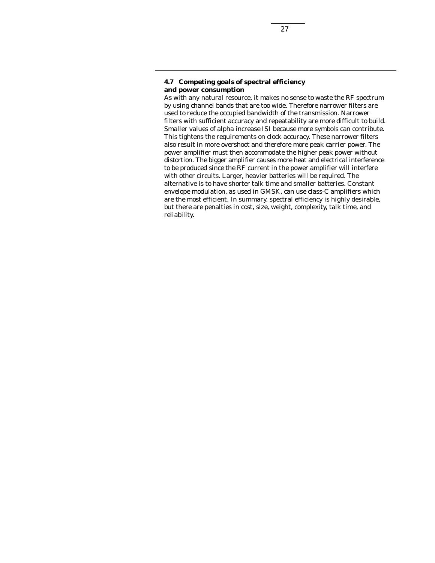### **4.7 Competing goals of spectral efficiency and power consumption**

As with any natural resource, it makes no sense to waste the RF spectrum by using channel bands that are too wide. Therefore narrower filters are used to reduce the occupied bandwidth of the transmission. Narrower filters with sufficient accuracy and repeatability are more difficult to build. Smaller values of alpha increase ISI because more symbols can contribute. This tightens the requirements on clock accuracy. These narrower filters also result in more overshoot and therefore more peak carrier power. The power amplifier must then accommodate the higher peak power without distortion. The bigger amplifier causes more heat and electrical interference to be produced since the RF current in the power amplifier will interfere with other circuits. Larger, heavier batteries will be required. The alternative is to have shorter talk time and smaller batteries. Constant envelope modulation, as used in GMSK, can use class-C amplifiers which are the most efficient. In summary, spectral efficiency is highly desirable, but there are penalties in cost, size, weight, complexity, talk time, and reliability.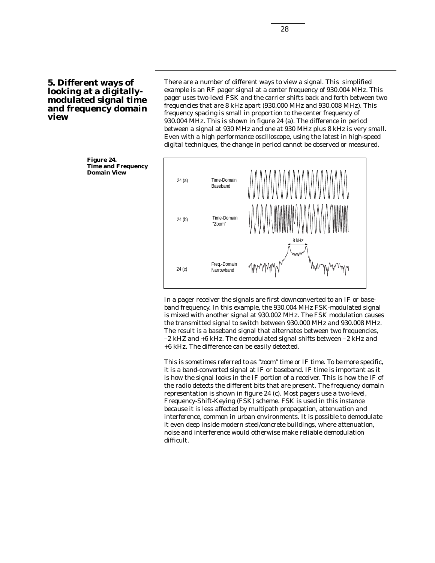**5. Different ways of looking at a digitallymodulated signal time and frequency domain view**

There are a number of different ways to view a signal. This simplified example is an RF pager signal at a center frequency of 930.004 MHz. This pager uses two-level FSK and the carrier shifts back and forth between two frequencies that are 8 kHz apart (930.000 MHz and 930.008 MHz). This frequency spacing is small in proportion to the center frequency of 930.004 MHz. This is shown in figure 24 (a). The difference in period between a signal at 930 MHz and one at 930 MHz plus 8 kHz is very small. Even with a high performance oscilloscope, using the latest in high-speed digital techniques, the change in period cannot be observed or measured.



In a pager receiver the signals are first downconverted to an IF or baseband frequency. In this example, the 930.004 MHz FSK-modulated signal is mixed with another signal at 930.002 MHz. The FSK modulation causes the transmitted signal to switch between 930.000 MHz and 930.008 MHz. The result is a baseband signal that alternates between two frequencies, –2 kHZ and +6 kHz. The demodulated signal shifts between –2 kHz and +6 kHz. The difference can be easily detected.

This is sometimes referred to as "zoom" time or IF time. To be more specific, it is a band-converted signal at IF or baseband. IF time is important as it is how the signal looks in the IF portion of a receiver. This is how the IF of the radio detects the different bits that are present. The frequency domain representation is shown in figure 24 (c). Most pagers use a two-level, Frequency-Shift-Keying (FSK) scheme. FSK is used in this instance because it is less affected by multipath propagation, attenuation and interference, common in urban environments. It is possible to demodulate it even deep inside modern steel/concrete buildings, where attenuation, noise and interference would otherwise make reliable demodulation difficult.

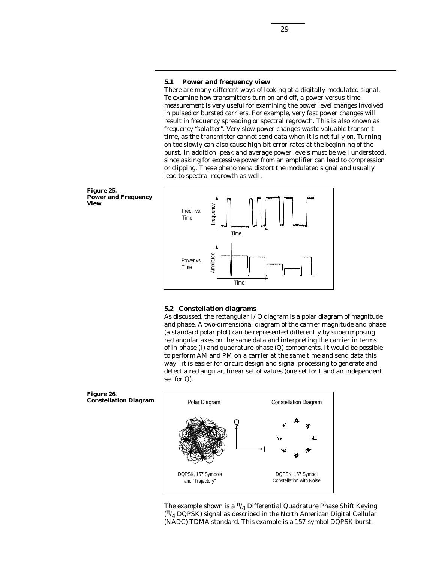#### **5.1 Power and frequency view**

There are many different ways of looking at a digitally-modulated signal. To examine how transmitters turn on and off, a power-versus-time measurement is very useful for examining the power level changes involved in pulsed or bursted carriers. For example, very fast power changes will result in frequency spreading or spectral regrowth. This is also known as frequency "splatter". Very slow power changes waste valuable transmit time, as the transmitter cannot send data when it is not fully on. Turning on too slowly can also cause high bit error rates at the beginning of the burst. In addition, peak and average power levels must be well understood, since asking for excessive power from an amplifier can lead to compression or clipping. These phenomena distort the modulated signal and usually lead to spectral regrowth as well.



#### **5.2 Constellation diagrams**

As discussed, the rectangular *I/Q* diagram is a polar diagram of magnitude and phase. A two-dimensional diagram of the carrier magnitude and phase (a standard polar plot) can be represented differently by superimposing rectangular axes on the same data and interpreting the carrier in terms of in-phase (*I*) and quadrature-phase (*Q*) components. It would be possible to perform AM and PM on a carrier at the same time and send data this way; it is easier for circuit design and signal processing to generate and detect a rectangular, linear set of values (one set for *I* and an independent set for *Q*).



The example shown is a  $\frac{\pi}{4}$  Differential Quadrature Phase Shift Keying  $(\frac{\pi}{4}$  DQPSK) signal as described in the North American Digital Cellular (NADC) TDMA standard. This example is a 157-symbol DQPSK burst.



**Figure 26.**

**Constellation Diagram**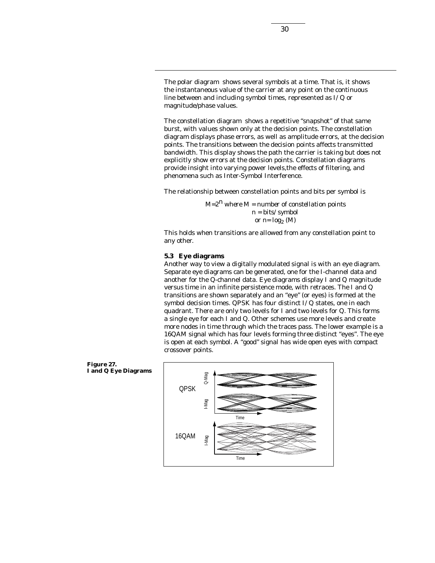The polar diagram shows several symbols at a time. That is, it shows the instantaneous value of the carrier at any point on the continuous line between and including symbol times, represented as *I/Q* or magnitude/phase values.

The constellation diagram shows a repetitive "snapshot" of that same burst, with values shown only at the decision points. The constellation diagram displays phase errors, as well as amplitude errors, at the decision points. The transitions between the decision points affects transmitted bandwidth. This display shows the path the carrier is taking but does not explicitly show errors at the decision points. Constellation diagrams provide insight into varying power levels,the effects of filtering, and phenomena such as Inter-Symbol Interference.

The relationship between constellation points and bits per symbol is

*M=2n where M = number of constellation points n = bits/symbol or*  $n = log_2(M)$ 

This holds when transitions are allowed from any constellation point to any other.

#### **5.3 Eye diagrams**

Another way to view a digitally modulated signal is with an eye diagram. Separate eye diagrams can be generated, one for the *I*-channel data and another for the *Q*-channel data. Eye diagrams display *I* and *Q* magnitude versus time in an infinite persistence mode, with retraces. The *I* and *Q* transitions are shown separately and an "eye" (or eyes) is formed at the symbol decision times. QPSK has four distinct *I/Q* states, one in each quadrant. There are only two levels for *I* and two levels for *Q*. This forms a single eye for each *I* and *Q*. Other schemes use more levels and create more nodes in time through which the traces pass. The lower example is a 16QAM signal which has four levels forming three distinct "eyes". The eye is open at each symbol. A "good" signal has wide open eyes with compact crossover points.



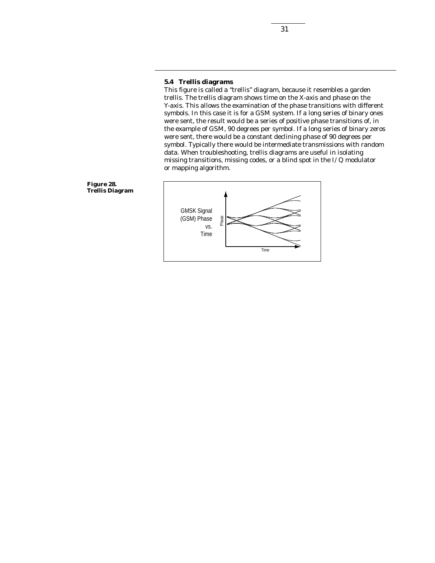## **5.4 Trellis diagrams**

This figure is called a "trellis" diagram, because it resembles a garden trellis. The trellis diagram shows time on the X-axis and phase on the Y-axis. This allows the examination of the phase transitions with different symbols. In this case it is for a GSM system. If a long series of binary ones were sent, the result would be a series of positive phase transitions of, in the example of GSM, 90 degrees per symbol. If a long series of binary zeros were sent, there would be a constant declining phase of 90 degrees per symbol. Typically there would be intermediate transmissions with random data. When troubleshooting, trellis diagrams are useful in isolating missing transitions, missing codes, or a blind spot in the *I/Q* modulator or mapping algorithm.



**Figure 28. Trellis Diagram**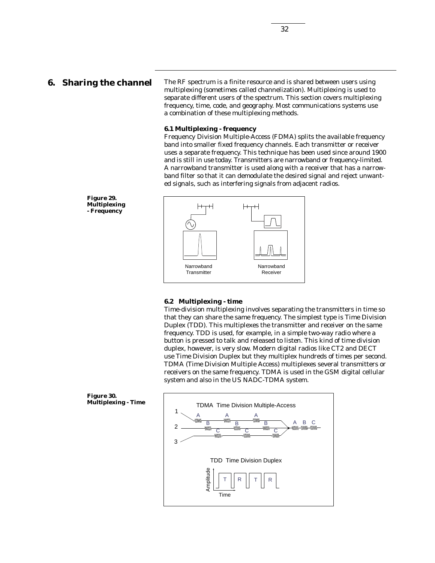## **6. Sharing the channel**

The RF spectrum is a finite resource and is shared between users using multiplexing (sometimes called channelization). Multiplexing is used to separate different users of the spectrum. This section covers multiplexing frequency, time, code, and geography. Most communications systems use a combination of these multiplexing methods.

#### **6.1 Multiplexing - frequency**

Frequency Division Multiple-Access (FDMA) splits the available frequency band into smaller fixed frequency channels. Each transmitter or receiver uses a separate frequency. This technique has been used since around 1900 and is still in use today. Transmitters are narrowband or frequency-limited. A narrowband transmitter is used along with a receiver that has a narrowband filter so that it can demodulate the desired signal and reject unwanted signals, such as interfering signals from adjacent radios.

**Figure 29. Multiplexing - Frequency**



#### **6.2 Multiplexing - time**

Time-division multiplexing involves separating the transmitters in time so that they can share the same frequency. The simplest type is Time Division Duplex (TDD). This multiplexes the transmitter and receiver on the same frequency. TDD is used, for example, in a simple two-way radio where a button is pressed to talk and released to listen. This kind of time division duplex, however, is very slow. Modern digital radios like CT2 and DECT use Time Division Duplex but they multiplex hundreds of times per second. TDMA (Time Division Multiple Access) multiplexes several transmitters or receivers on the same frequency. TDMA is used in the GSM digital cellular system and also in the US NADC-TDMA system.

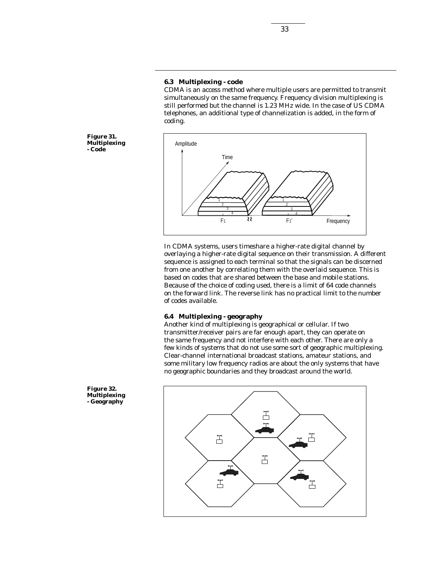#### **6.3 Multiplexing - code**

CDMA is an access method where multiple users are permitted to transmit simultaneously on the same frequency. Frequency division multiplexing is still performed but the channel is 1.23 MHz wide. In the case of US CDMA telephones, an additional type of channelization is added, in the form of coding.

˜˜ Frequency Amplitude Time F1 1 2 4 1 2 3 4 F1'

In CDMA systems, users timeshare a higher-rate digital channel by overlaying a higher-rate digital sequence on their transmission. A different sequence is assigned to each terminal so that the signals can be discerned from one another by correlating them with the overlaid sequence. This is based on codes that are shared between the base and mobile stations. Because of the choice of coding used, there is a limit of 64 code channels on the forward link. The reverse link has no practical limit to the number of codes available.

#### **6.4 Multiplexing - geography**

Another kind of multiplexing is geographical or cellular. If two transmitter/receiver pairs are far enough apart, they can operate on the same frequency and not interfere with each other. There are only a few kinds of systems that do not use some sort of geographic multiplexing. Clear-channel international broadcast stations, amateur stations, and some military low frequency radios are about the only systems that have no geographic boundaries and they broadcast around the world.



**Figure 31. Multiplexing - Code**

**Figure 32. Multiplexing - Geography**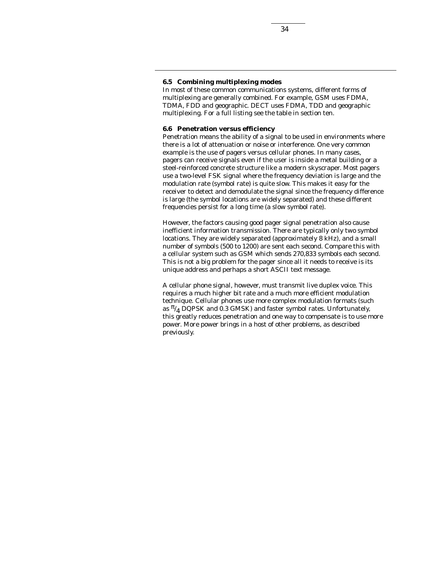### **6.5 Combining multiplexing modes**

In most of these common communications systems, different forms of multiplexing are generally combined. For example, GSM uses FDMA, TDMA, FDD and geographic. DECT uses FDMA, TDD and geographic multiplexing. For a full listing see the table in section ten.

#### **6.6 Penetration versus efficiency**

Penetration means the ability of a signal to be used in environments where there is a lot of attenuation or noise or interference. One very common example is the use of pagers versus cellular phones. In many cases, pagers can receive signals even if the user is inside a metal building or a steel-reinforced concrete structure like a modern skyscraper. Most pagers use a two-level FSK signal where the frequency deviation is large and the modulation rate (symbol rate) is quite slow. This makes it easy for the receiver to detect and demodulate the signal since the frequency difference is large (the symbol locations are widely separated) and these different frequencies persist for a long time (a slow symbol rate).

However, the factors causing good pager signal penetration also cause inefficient information transmission. There are typically only two symbol locations. They are widely separated (approximately 8 kHz), and a small number of symbols (500 to 1200) are sent each second. Compare this with a cellular system such as GSM which sends 270,833 symbols each second. This is not a big problem for the pager since all it needs to receive is its unique address and perhaps a short ASCII text message.

A cellular phone signal, however, must transmit live duplex voice. This requires a much higher bit rate and a much more efficient modulation technique. Cellular phones use more complex modulation formats (such as  $\frac{\pi}{4}$  DQPSK and 0.3 GMSK) and faster symbol rates. Unfortunately, this greatly reduces penetration and one way to compensate is to use more power. More power brings in a host of other problems, as described previously.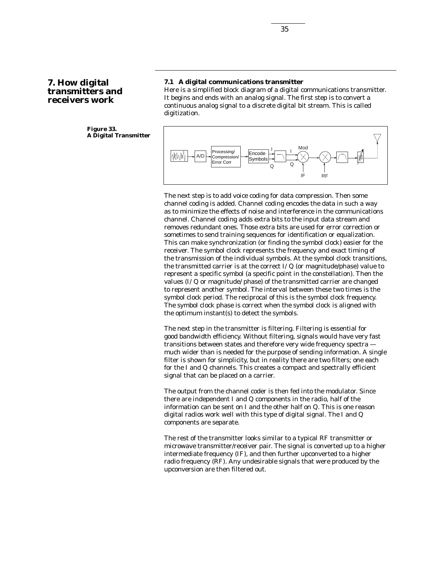## **7. How digital transmitters and receivers work**

#### **Figure 33. A Digital Transmitter**

### **7.1 A digital communications transmitter**

Here is a simplified block diagram of a digital communications transmitter. It begins and ends with an analog signal. The first step is to convert a continuous analog signal to a discrete digital bit stream. This is called digitization.



The next step is to add voice coding for data compression. Then some channel coding is added. Channel coding encodes the data in such a way as to minimize the effects of noise and interference in the communications channel. Channel coding adds extra bits to the input data stream and removes redundant ones. Those extra bits are used for error correction or sometimes to send training sequences for identification or equalization. This can make synchronization (or finding the symbol clock) easier for the receiver. The symbol clock represents the frequency and exact timing of the transmission of the individual symbols. At the symbol clock transitions, the transmitted carrier is at the correct *I/Q* (or magnitude/phase) value to represent a specific symbol (a specific point in the constellation). Then the values (*I/Q* or magnitude/ phase) of the transmitted carrier are changed to represent another symbol. The interval between these two times is the symbol clock period. The reciprocal of this is the symbol clock frequency. The symbol clock phase is correct when the symbol clock is aligned with the optimum instant(s) to detect the symbols.

The next step in the transmitter is filtering. Filtering is essential for good bandwidth efficiency. Without filtering, signals would have very fast transitions between states and therefore very wide frequency spectra much wider than is needed for the purpose of sending information. A single filter is shown for simplicity, but in reality there are two filters; one each for the *I* and *Q* channels. This creates a compact and spectrally efficient signal that can be placed on a carrier.

The output from the channel coder is then fed into the modulator. Since there are independent *I* and *Q* components in the radio, half of the information can be sent on *I* and the other half on *Q*. This is one reason digital radios work well with this type of digital signal. The *I* and *Q* components are separate.

The rest of the transmitter looks similar to a typical RF transmitter or microwave transmitter/receiver pair. The signal is converted up to a higher intermediate frequency (IF), and then further upconverted to a higher radio frequency (RF). Any undesirable signals that were produced by the upconversion are then filtered out.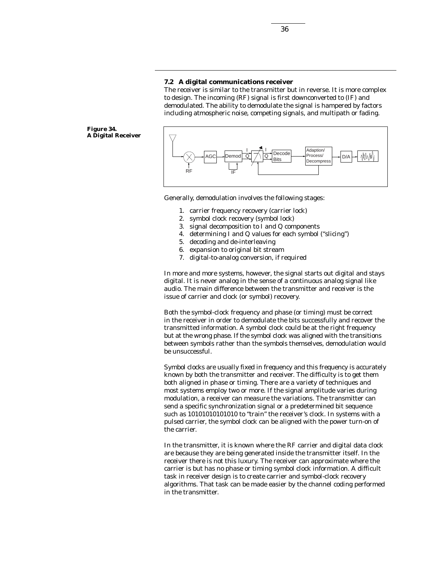#### **7.2 A digital communications receiver**

The receiver is similar to the transmitter but in reverse. It is more complex to design. The incoming (RF) signal is first downconverted to (IF) and demodulated. The ability to demodulate the signal is hampered by factors including atmospheric noise, competing signals, and multipath or fading.

**Figure 34. A Digital Receiver**



Generally, demodulation involves the following stages:

- 1. carrier frequency recovery (carrier lock)
- 2. symbol clock recovery (symbol lock)
- 3. signal decomposition to *I* and *Q* components
- 4. determining *I* and *Q* values for each symbol ("slicing")
- 5. decoding and de-interleaving
- 6. expansion to original bit stream
- 7. digital-to-analog conversion, if required

In more and more systems, however, the signal starts out digital and stays digital. It is never analog in the sense of a continuous analog signal like audio. The main difference between the transmitter and receiver is the issue of carrier and clock (or symbol) recovery.

Both the symbol-clock frequency and phase (or timing) must be correct in the receiver in order to demodulate the bits successfully and recover the transmitted information. A symbol clock could be at the right frequency but at the wrong phase. If the symbol clock was aligned with the transitions between symbols rather than the symbols themselves, demodulation would be unsuccessful.

Symbol clocks are usually fixed in frequency and this frequency is accurately known by both the transmitter and receiver. The difficulty is to get them both aligned in phase or timing. There are a variety of techniques and most systems employ two or more. If the signal amplitude varies during modulation, a receiver can measure the variations. The transmitter can send a specific synchronization signal or a predetermined bit sequence such as *10101010101010* to "train" the receiver's clock. In systems with a pulsed carrier, the symbol clock can be aligned with the power turn-on of the carrier.

In the transmitter, it is known where the RF carrier and digital data clock are because they are being generated inside the transmitter itself. In the receiver there is not this luxury. The receiver can approximate where the carrier is but has no phase or timing symbol clock information. A difficult task in receiver design is to create carrier and symbol-clock recovery algorithms. That task can be made easier by the channel coding performed in the transmitter.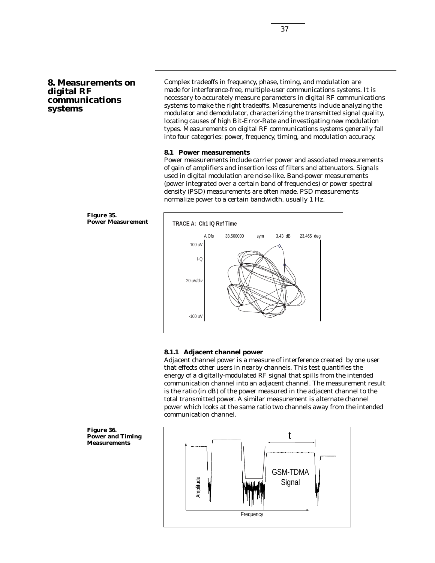## **8. Measurements on digital RF communications systems**

Complex tradeoffs in frequency, phase, timing, and modulation are made for interference-free, multiple-user communications systems. It is necessary to accurately measure parameters in digital RF communications systems to make the right tradeoffs. Measurements include analyzing the modulator and demodulator, characterizing the transmitted signal quality, locating causes of high Bit-Error-Rate and investigating new modulation types. Measurements on digital RF communications systems generally fall into four categories: power, frequency, timing, and modulation accuracy.

#### **8.1 Power measurements**

Power measurements include carrier power and associated measurements of gain of amplifiers and insertion loss of filters and attenuators. Signals used in digital modulation are noise-like. Band-power measurements (power integrated over a certain band of frequencies) or power spectral density (PSD) measurements are often made. PSD measurements normalize power to a certain bandwidth, usually 1 Hz.





#### **8.1.1 Adjacent channel power**

Adjacent channel power is a measure of interference created by one user that effects other users in nearby channels. This test quantifies the energy of a digitally-modulated RF signal that spills from the intended communication channel into an adjacent channel. The measurement result is the ratio (in dB) of the power measured in the adjacent channel to the total transmitted power. A similar measurement is alternate channel power which looks at the same ratio two channels away from the intended communication channel.

**Figure 36. Power and Timing Measurements**

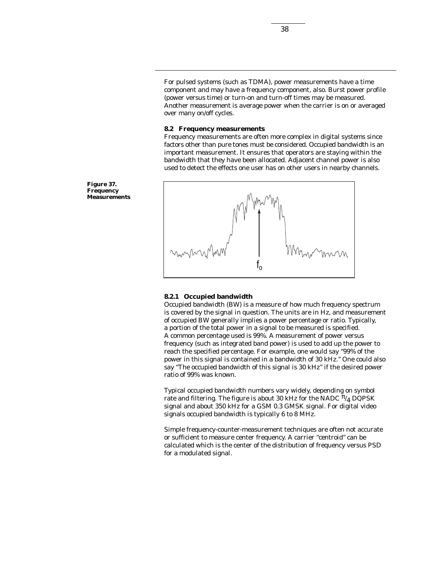For pulsed systems (such as TDMA), power measurements have a time component and may have a frequency component, also. Burst power profile (power versus time) or turn-on and turn-off times may be measured. Another measurement is average power when the carrier is on or averaged over many on/off cycles.

#### **8.2 Frequency measurements**

Frequency measurements are often more complex in digital systems since factors other than pure tones must be considered. Occupied bandwidth is an important measurement. It ensures that operators are staying within the bandwidth that they have been allocated. Adjacent channel power is also used to detect the effects one user has on other users in nearby channels.



#### **8.2.1 Occupied bandwidth**

Occupied bandwidth (BW) is a measure of how much frequency spectrum is covered by the signal in question. The units are in Hz, and measurement of occupied BW generally implies a power percentage or ratio. Typically, a portion of the total power in a signal to be measured is specified. A common percentage used is 99%. A measurement of power versus frequency (such as integrated band power) is used to add up the power to reach the specified percentage. For example, one would say "99% of the power in this signal is contained in a bandwidth of 30 kHz." One could also say "The occupied bandwidth of this signal is 30 kHz" if the desired power ratio of 99% was known.

Typical occupied bandwidth numbers vary widely, depending on symbol rate and filtering. The figure is about 30 kHz for the NADC  $\pi/4$  DQPSK signal and about 350 kHz for a GSM 0.3 GMSK signal. For digital video signals occupied bandwidth is typically 6 to 8 MHz.

Simple frequency-counter-measurement techniques are often not accurate or sufficient to measure center frequency. A carrier "centroid" can be calculated which is the center of the distribution of frequency versus PSD for a modulated signal.

**Figure 37. Frequency Measurements**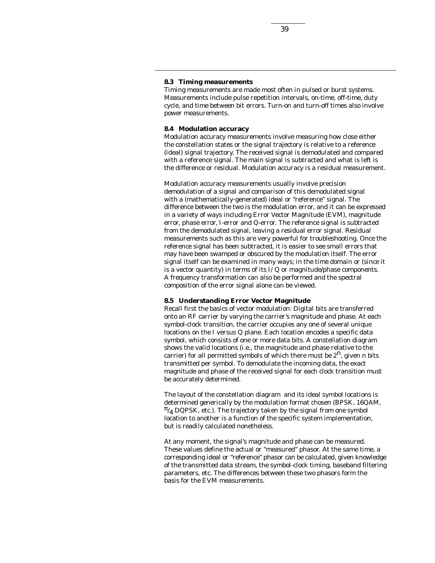#### **8.3 Timing measurements**

Timing measurements are made most often in pulsed or burst systems. Measurements include pulse repetition intervals, on-time, off-time, duty cycle, and time between bit errors. Turn-on and turn-off times also involve power measurements.

#### **8.4 Modulation accuracy**

Modulation accuracy measurements involve measuring how close either the constellation states or the signal trajectory is relative to a reference (ideal) signal trajectory. The received signal is demodulated and compared with a reference signal. The main signal is subtracted and what is left is the difference or residual. Modulation accuracy is a residual measurement.

Modulation accuracy measurements usually involve precision demodulation of a signal and comparison of this demodulated signal with a (mathematically-generated) ideal or "reference" signal. The difference between the two is the modulation error, and it can be expressed in a variety of ways including Error Vector Magnitude (EVM), magnitude error, phase error, *I*-error and *Q*-error. The reference signal is subtracted from the demodulated signal, leaving a residual error signal. Residual measurements such as this are very powerful for troubleshooting. Once the reference signal has been subtracted, it is easier to see small errors that may have been swamped or obscured by the modulation itself. The error signal itself can be examined in many ways; in the time domain or (since it is a vector quantity) in terms of its *I/Q* or magnitude/phase components. A frequency transformation can also be performed and the spectral composition of the error signal alone can be viewed.

### **8.5 Understanding Error Vector Magnitude**

Recall first the basics of vector modulation: Digital bits are transferred onto an RF carrier by varying the carrier's magnitude and phase. At each symbol-clock transition, the carrier occupies any one of several unique locations on the *I* versus *Q* plane. Each location encodes a specific data symbol, which consists of one or more data bits. A constellation diagram shows the valid locations (i.e., the magnitude and phase relative to the carrier) for all permitted symbols of which there must be  $2<sup>n</sup>$ , given *n* bits transmitted per symbol. To demodulate the incoming data, the exact magnitude and phase of the received signal for each clock transition must be accurately determined.

The layout of the constellation diagram and its ideal symbol locations is determined generically by the modulation format chosen (BPSK, 16QAM,  $\pi/4$  DQPSK, etc.). The trajectory taken by the signal from one symbol location to another is a function of the specific system implementation, but is readily calculated nonetheless.

At any moment, the signal's magnitude and phase can be measured. These values define the actual or "measured" phasor. At the same time, a corresponding ideal or "reference" phasor can be calculated, given knowledge of the transmitted data stream, the symbol-clock timing, baseband filtering parameters, etc. The differences between these two phasors form the basis for the EVM measurements.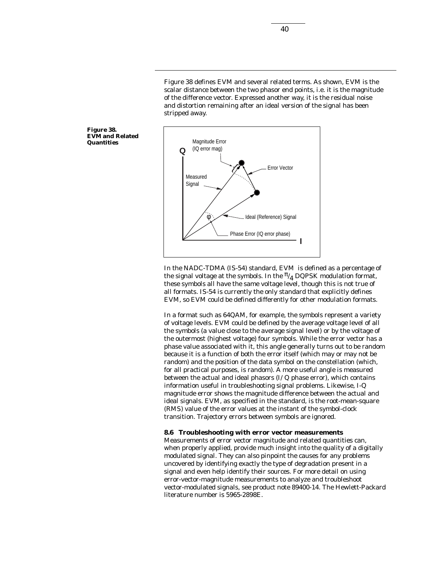Figure 38 defines EVM and several related terms. As shown, EVM is the scalar distance between the two phasor end points, i.e. it is the magnitude of the difference vector. Expressed another way, it is the residual noise and distortion remaining after an ideal version of the signal has been stripped away.



In the NADC-TDMA (IS-54) standard, EVM is defined as a percentage of the signal voltage at the symbols. In the  $\frac{\pi}{4}$  DQPSK modulation format, these symbols all have the same voltage level, though this is not true of all formats. IS-54 is currently the only standard that explicitly defines EVM, so EVM could be defined differently for other modulation formats.

In a format such as 64QAM, for example, the symbols represent a variety of voltage levels. EVM could be defined by the average voltage level of all the symbols (a value close to the average signal level) or by the voltage of the outermost (highest voltage) four symbols. While the error vector has a phase value associated with it, this angle generally turns out to be random because it is a function of both the error itself (which may or may not be random) and the position of the data symbol on the constellation (which, for all practical purposes, is random). A more useful angle is measured between the actual and ideal phasors (*I/Q* phase error), which contains information useful in troubleshooting signal problems. Likewise, *I-Q* magnitude error shows the magnitude difference between the actual and ideal signals. EVM, as specified in the standard, is the root-mean-square (RMS) value of the error values at the instant of the symbol-clock transition. Trajectory errors between symbols are ignored.

#### **8.6 Troubleshooting with error vector measurements**

Measurements of error vector magnitude and related quantities can, when properly applied, provide much insight into the quality of a digitally modulated signal. They can also pinpoint the causes for any problems uncovered by identifying exactly the type of degradation present in a signal and even help identify their sources. For more detail on using error-vector-magnitude measurements to analyze and troubleshoot vector-modulated signals, see product note 89400-14. The Hewlett-Packard literature number is 5965-2898E.

**Figure 38. EVM and Related Quantities**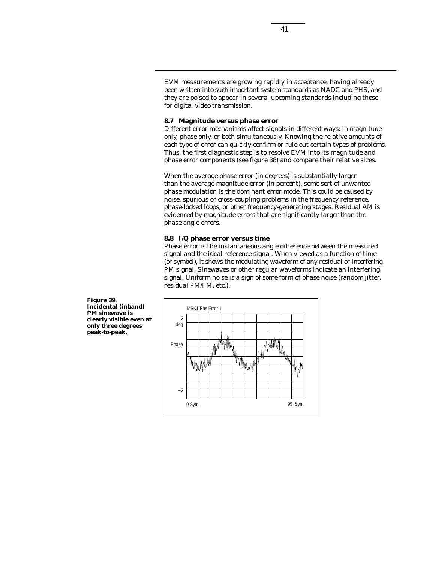EVM measurements are growing rapidly in acceptance, having already been written into such important system standards as NADC and PHS, and they are poised to appear in several upcoming standards including those for digital video transmission.

#### **8.7 Magnitude versus phase error**

Different error mechanisms affect signals in different ways: in magnitude only, phase only, or both simultaneously. Knowing the relative amounts of each type of error can quickly confirm or rule out certain types of problems. Thus, the first diagnostic step is to resolve EVM into its magnitude and phase error components (see figure 38) and compare their relative sizes.

When the average phase error (in degrees) is substantially larger than the average magnitude error (in percent), some sort of unwanted phase modulation is the dominant error mode. This could be caused by noise, spurious or cross-coupling problems in the frequency reference, phase-locked loops, or other frequency-generating stages. Residual AM is evidenced by magnitude errors that are significantly larger than the phase angle errors.

#### **8.8 I/Q phase error versus time**

Phase error is the instantaneous angle difference between the measured signal and the ideal reference signal. When viewed as a function of time (or symbol), it shows the modulating waveform of any residual or interfering PM signal. Sinewaves or other regular waveforms indicate an interfering signal. Uniform noise is a sign of some form of phase noise (random jitter, residual PM/FM, etc.).



**Figure 39. Incidental (inband) PM sinewave is clearly visible even at only three degrees peak-to-peak.**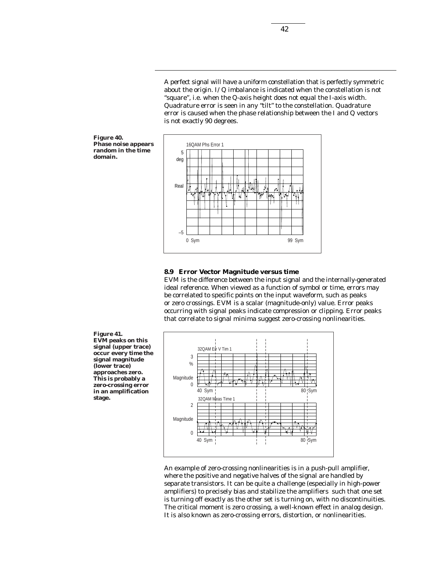A perfect signal will have a uniform constellation that is perfectly symmetric about the origin. *I/Q* imbalance is indicated when the constellation is not "square", i.e. when the *Q*-axis height does not equal the *I*-axis width. Quadrature error is seen in any "tilt" to the constellation. Quadrature error is caused when the phase relationship between the *I* and *Q* vectors is not exactly 90 degrees.





#### **8.9 Error Vector Magnitude versus time**

EVM is the difference between the input signal and the internally-generated ideal reference. When viewed as a function of symbol or time, errors may be correlated to specific points on the input waveform, such as peaks or zero crossings. EVM is a scalar (magnitude-only) value. Error peaks occurring with signal peaks indicate compression or clipping. Error peaks that correlate to signal minima suggest zero-crossing nonlinearities.

**Figure 41. EVM peaks on this signal (upper trace) occur every time the signal magnitude (lower trace) approaches zero. This is probably a zero-crossing error in an amplification stage.**



An example of zero-crossing nonlinearities is in a push-pull amplifier, where the positive and negative halves of the signal are handled by separate transistors. It can be quite a challenge (especially in high-power amplifiers) to precisely bias and stabilize the amplifiers such that one set is turning off exactly as the other set is turning on, with no discontinuities. The critical moment is zero crossing, a well-known effect in analog design. It is also known as zero-crossing errors, distortion, or nonlinearities.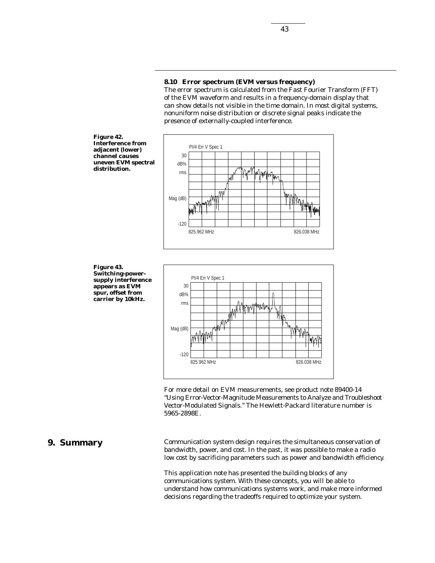#### **8.10 Error spectrum (EVM versus frequency)**

The error spectrum is calculated from the Fast Fourier Transform (FFT) of the EVM waveform and results in a frequency-domain display that can show details not visible in the time domain. In most digital systems, nonuniform noise distribution or discrete signal peaks indicate the presence of externally-coupled interference.



**Figure 43. Switching-powersupply interference appears as EVM spur, offset from carrier by 10kHz.**



For more detail on EVM measurements, see product note 89400-14 "Using Error-Vector-Magnitude Measurements to Analyze and Troubleshoot Vector-Modulated Signals." The Hewlett-Packard literature number is 5965-2898E.

## **9. Summary**

Communication system design requires the simultaneous conservation of bandwidth, power, and cost. In the past, it was possible to make a radio low cost by sacrificing parameters such as power and bandwidth efficiency.

This application note has presented the building blocks of any communications system. With these concepts, you will be able to understand how communications systems work, and make more informed decisions regarding the tradeoffs required to optimize your system.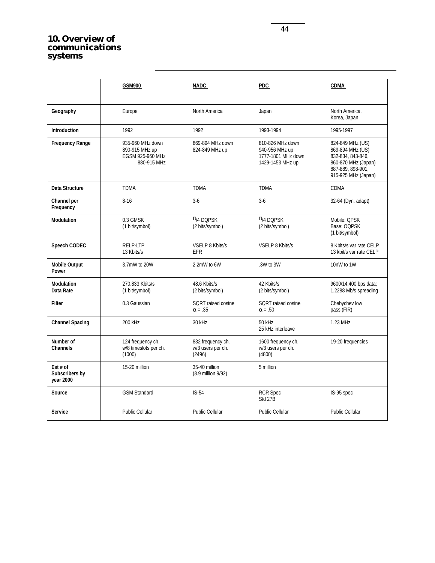## **10. Overview of communications systems**

|                                         | GSM900                                                                | <b>NADC</b>                                      | PDC.                                                                         | <b>CDMA</b>                                                                                                                  |
|-----------------------------------------|-----------------------------------------------------------------------|--------------------------------------------------|------------------------------------------------------------------------------|------------------------------------------------------------------------------------------------------------------------------|
| Geography                               | Europe                                                                | North America                                    | Japan                                                                        | North America,<br>Korea, Japan                                                                                               |
| Introduction                            | 1992                                                                  | 1992                                             | 1993-1994                                                                    | 1995-1997                                                                                                                    |
| <b>Frequency Range</b>                  | 935-960 MHz down<br>890-915 MHz up<br>EGSM 925-960 MHz<br>880-915 MHz | 869-894 MHz down<br>824-849 MHz up               | 810-826 MHz down<br>940-956 MHz up<br>1777-1801 MHz down<br>1429-1453 MHz up | 824-849 MHz (US)<br>869-894 MHz (US)<br>832-834, 843-846,<br>860-870 MHz (Japan)<br>887-889, 898-901,<br>915-925 MHz (Japan) |
| Data Structure                          | <b>TDMA</b>                                                           | <b>TDMA</b>                                      | <b>TDMA</b>                                                                  | <b>CDMA</b>                                                                                                                  |
| <b>Channel per</b><br>Frequency         | $8 - 16$                                                              | $3-6$                                            | $3-6$                                                                        | 32-64 (Dyn. adapt)                                                                                                           |
| <b>Modulation</b>                       | 0.3 GMSK<br>(1 bit/symbol)                                            | $\pi$ /4 DOPSK<br>(2 bits/symbol)                | $\pi$ /4 DOPSK<br>(2 bits/symbol)                                            | Mobile: QPSK<br>Base: OQPSK<br>(1 bit/symbol)                                                                                |
| <b>Speech CODEC</b>                     | RELP-LTP<br>13 Kbits/s                                                | VSELP 8 Kbits/s<br><b>EFR</b>                    | VSELP 8 Kbits/s                                                              | 8 Kbits/s var rate CELP<br>13 kbit/s var rate CELP                                                                           |
| <b>Mobile Output</b><br>Power           | 3.7mW to 20W                                                          | 2.2mW to 6W                                      | .3W to 3W                                                                    | 10nW to 1W                                                                                                                   |
| <b>Modulation</b><br>Data Rate          | 270.833 Kbits/s<br>(1 bit/symbol)                                     | 48.6 Kbits/s<br>(2 bits/symbol)                  | 42 Kbits/s<br>(2 bits/symbol)                                                | 9600/14,400 bps data;<br>1.2288 Mb/s spreading                                                                               |
| <b>Filter</b>                           | 0.3 Gaussian                                                          | SQRT raised cosine<br>$\alpha = .35$             | <b>SQRT</b> raised cosine<br>$\alpha = .50$                                  | Chebychev low<br>pass (FIR)                                                                                                  |
| <b>Channel Spacing</b>                  | 200 kHz                                                               | 30 kHz                                           | 50 kHz<br>25 kHz interleave                                                  | 1.23 MHz                                                                                                                     |
| Number of<br><b>Channels</b>            | 124 frequency ch.<br>w/8 timeslots per ch.<br>(1000)                  | 832 frequency ch.<br>w/3 users per ch.<br>(2496) | 1600 frequency ch.<br>w/3 users per ch.<br>(4800)                            | 19-20 frequencies                                                                                                            |
| Est # of<br>Subscribers by<br>year 2000 | 15-20 million                                                         | 35-40 million<br>(8.9 million 9/92)              | 5 million                                                                    |                                                                                                                              |
| <b>Source</b>                           | <b>GSM Standard</b>                                                   | $IS-54$                                          | <b>RCR Spec</b><br>Std 27B                                                   | IS-95 spec                                                                                                                   |
| <b>Service</b>                          | <b>Public Cellular</b>                                                | Public Cellular                                  | <b>Public Cellular</b>                                                       | <b>Public Cellular</b>                                                                                                       |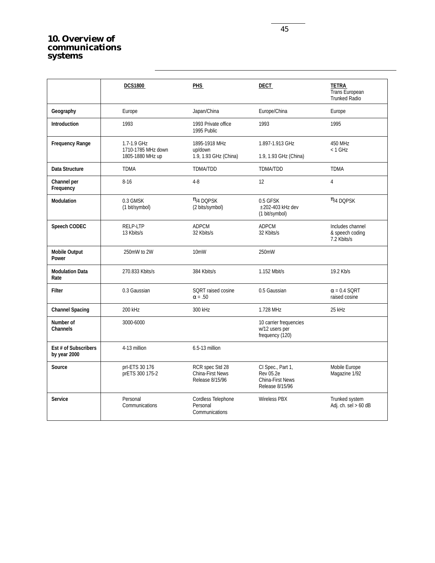## **10. Overview of communications systems**

|                                      | <b>DCS1800</b>                                        | <b>PHS</b>                                                    | <b>DECT</b>                                                                         | <u>TETRA_</u><br>Trans European<br><b>Trunked Radio</b> |
|--------------------------------------|-------------------------------------------------------|---------------------------------------------------------------|-------------------------------------------------------------------------------------|---------------------------------------------------------|
| Geography                            | Europe                                                | Japan/China                                                   | Europe/China                                                                        | Europe                                                  |
| <b>Introduction</b>                  | 1993                                                  | 1993 Private office<br>1995 Public                            | 1993                                                                                | 1995                                                    |
| <b>Frequency Range</b>               | 1.7-1.9 GHz<br>1710-1785 MHz down<br>1805-1880 MHz up | 1895-1918 MHz<br>up/down<br>1.9, 1.93 GHz (China)             | 1.897-1.913 GHz<br>1.9, 1.93 GHz (China)                                            | 450 MHz<br>$< 1$ GHz                                    |
| Data Structure                       | <b>TDMA</b>                                           | TDMA/TDD                                                      | <b>TDMA/TDD</b>                                                                     | <b>TDMA</b>                                             |
| Channel per<br>Frequency             | $8 - 16$                                              | $4 - 8$                                                       | 12                                                                                  | 4                                                       |
| <b>Modulation</b>                    | 0.3 GMSK<br>(1 bit/symbol)                            | $\pi$ /4 DQPSK<br>(2 bits/symbol)                             | 0.5 GFSK<br>±202-403 kHz dev<br>(1 bit/symbol)                                      | $\pi$ /4 DQPSK                                          |
| <b>Speech CODEC</b>                  | RELP-LTP<br>13 Kbits/s                                | <b>ADPCM</b><br>32 Kbits/s                                    | <b>ADPCM</b><br>32 Kbits/s                                                          | Includes channel<br>& speech coding<br>7.2 Kbits/s      |
| <b>Mobile Output</b><br>Power        | 250mW to 2W                                           | 10 <sub>m</sub> W                                             | 250mW                                                                               |                                                         |
| <b>Modulation Data</b><br>Rate       | 270.833 Kbits/s                                       | 384 Kbits/s                                                   | 1.152 Mbit/s                                                                        | 19.2 Kb/s                                               |
| Filter                               | 0.3 Gaussian                                          | SQRT raised cosine<br>$\alpha = .50$                          | 0.5 Gaussian                                                                        | $\alpha$ = 0.4 SQRT<br>raised cosine                    |
| <b>Channel Spacing</b>               | 200 kHz                                               | 300 kHz                                                       | 1.728 MHz                                                                           | 25 kHz                                                  |
| Number of<br><b>Channels</b>         | 3000-6000                                             |                                                               | 10 carrier frequencies<br>w/12 users per<br>frequency (120)                         |                                                         |
| Est # of Subscribers<br>by year 2000 | 4-13 million                                          | 6.5-13 million                                                |                                                                                     |                                                         |
| Source                               | prl-ETS 30 176<br>prETS 300 175-2                     | RCR spec Std 28<br><b>China-First News</b><br>Release 8/15/96 | CI Spec., Part 1,<br><b>Rev 05.2e</b><br><b>China-First News</b><br>Release 8/15/96 | Mobile Europe<br>Magazine 1/92                          |
| <b>Service</b>                       | Personal<br>Communications                            | Cordless Telephone<br>Personal<br>Communications              | Wireless PBX                                                                        | Trunked system<br>Adj. ch. sel > 60 dB                  |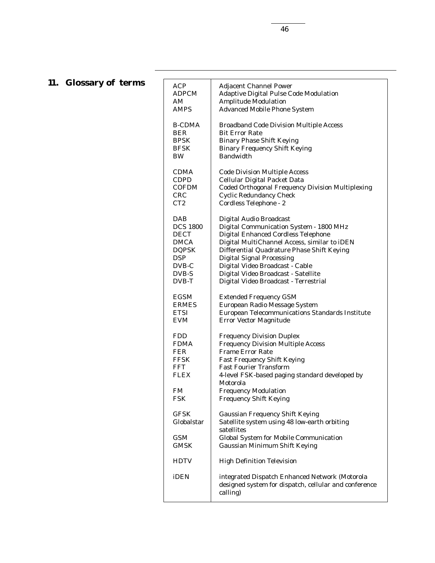# **11. Glossary of terms**

| <b>ACP</b>      | <b>Adjacent Channel Power</b>                                                                                       |
|-----------------|---------------------------------------------------------------------------------------------------------------------|
| ADPCM           | <b>Adaptive Digital Pulse Code Modulation</b>                                                                       |
| AM              | <b>Amplitude Modulation</b>                                                                                         |
| AMPS            | <b>Advanced Mobile Phone System</b>                                                                                 |
| <b>B-CDMA</b>   | <b>Broadband Code Division Multiple Access</b>                                                                      |
| BER             | <b>Bit Error Rate</b>                                                                                               |
| BPSK            | <b>Binary Phase Shift Keying</b>                                                                                    |
| BFSK            | <b>Binary Frequency Shift Keying</b>                                                                                |
| BW              | <b>Bandwidth</b>                                                                                                    |
| <b>CDMA</b>     | <b>Code Division Multiple Access</b>                                                                                |
| <b>CDPD</b>     | Cellular Digital Packet Data                                                                                        |
| <b>COFDM</b>    | <b>Coded Orthogonal Frequency Division Multiplexing</b>                                                             |
| CRC             | <b>Cyclic Redundancy Check</b>                                                                                      |
| CT2             | Cordless Telephone - 2                                                                                              |
| DAB             | Digital Audio Broadcast                                                                                             |
| <b>DCS 1800</b> | Digital Communication System - 1800 MHz                                                                             |
| <b>DECT</b>     | <b>Digital Enhanced Cordless Telephone</b>                                                                          |
| <b>DMCA</b>     | Digital MultiChannel Access, similar to iDEN                                                                        |
| <b>DQPSK</b>    | Differential Quadrature Phase Shift Keying                                                                          |
| <b>DSP</b>      | <b>Digital Signal Processing</b>                                                                                    |
| DVB-C           | Digital Video Broadcast - Cable                                                                                     |
| DVB-S           | Digital Video Broadcast - Satellite                                                                                 |
| DVB-T           | Digital Video Broadcast - Terrestrial                                                                               |
| <b>EGSM</b>     | <b>Extended Frequency GSM</b>                                                                                       |
| <b>ERMES</b>    | European Radio Message System                                                                                       |
| <b>ETSI</b>     | European Telecommunications Standards Institute                                                                     |
| <b>EVM</b>      | <b>Error Vector Magnitude</b>                                                                                       |
| <b>FDD</b>      | <b>Frequency Division Duplex</b>                                                                                    |
| <b>FDMA</b>     | <b>Frequency Division Multiple Access</b>                                                                           |
| FER             | <b>Frame Error Rate</b>                                                                                             |
| <b>FFSK</b>     | <b>Fast Frequency Shift Keying</b>                                                                                  |
| FFT             | <b>Fast Fourier Transform</b>                                                                                       |
| <b>FLEX</b>     | 4-level FSK-based paging standard developed by<br>Motorola                                                          |
| FM              | <b>Frequency Modulation</b>                                                                                         |
| <b>FSK</b>      | <b>Frequency Shift Keying</b>                                                                                       |
| GFSK            | <b>Gaussian Frequency Shift Keying</b>                                                                              |
| Globalstar      | Satellite system using 48 low-earth orbiting                                                                        |
|                 | satellites                                                                                                          |
| GSM             | <b>Global System for Mobile Communication</b>                                                                       |
| GMSK            | <b>Gaussian Minimum Shift Keying</b>                                                                                |
| <b>HDTV</b>     | <b>High Definition Television</b>                                                                                   |
| iDEN            | integrated Dispatch Enhanced Network (Motorola<br>designed system for dispatch, cellular and conference<br>calling) |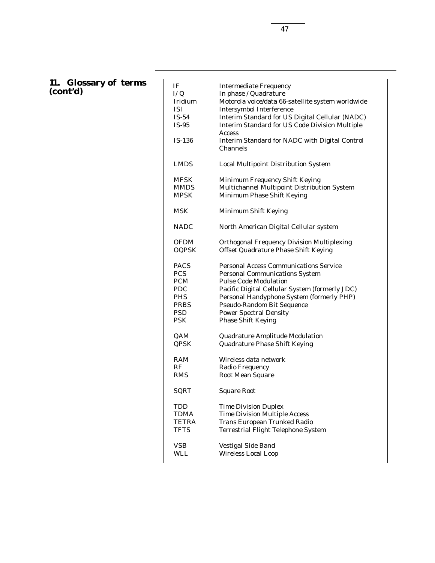## **11. Glossary of terms (cont'd)**

| IF<br>L/Q<br>Iridium<br><b>ISI</b><br>$IS-54$<br>$IS-95$<br>$IS-136$ | <b>Intermediate Frequency</b><br>In phase / Quadrature<br>Motorola voice/data 66-satellite system worldwide<br><b>Intersymbol Interference</b><br>Interim Standard for US Digital Cellular (NADC)<br><b>Interim Standard for US Code Division Multiple</b><br><b>Access</b><br>Interim Standard for NADC with Digital Control<br>Channels |
|----------------------------------------------------------------------|-------------------------------------------------------------------------------------------------------------------------------------------------------------------------------------------------------------------------------------------------------------------------------------------------------------------------------------------|
| <b>LMDS</b>                                                          | <b>Local Multipoint Distribution System</b>                                                                                                                                                                                                                                                                                               |
| <b>MFSK</b>                                                          | Minimum Frequency Shift Keying                                                                                                                                                                                                                                                                                                            |
| <b>MMDS</b>                                                          | Multichannel Multipoint Distribution System                                                                                                                                                                                                                                                                                               |
| MPSK                                                                 | Minimum Phase Shift Keying                                                                                                                                                                                                                                                                                                                |
| MSK                                                                  | Minimum Shift Keying                                                                                                                                                                                                                                                                                                                      |
| <b>NADC</b>                                                          | North American Digital Cellular system                                                                                                                                                                                                                                                                                                    |
| <b>OFDM</b>                                                          | <b>Orthogonal Frequency Division Multiplexing</b>                                                                                                                                                                                                                                                                                         |
| <b>OQPSK</b>                                                         | Offset Quadrature Phase Shift Keying                                                                                                                                                                                                                                                                                                      |
| <b>PACS</b>                                                          | <b>Personal Access Communications Service</b>                                                                                                                                                                                                                                                                                             |
| <b>PCS</b>                                                           | <b>Personal Communications System</b>                                                                                                                                                                                                                                                                                                     |
| <b>PCM</b>                                                           | <b>Pulse Code Modulation</b>                                                                                                                                                                                                                                                                                                              |
| <b>PDC</b>                                                           | Pacific Digital Cellular System (formerly JDC)                                                                                                                                                                                                                                                                                            |
| <b>PHS</b>                                                           | Personal Handyphone System (formerly PHP)                                                                                                                                                                                                                                                                                                 |
| <b>PRBS</b>                                                          | <b>Pseudo-Random Bit Sequence</b>                                                                                                                                                                                                                                                                                                         |
| <b>PSD</b>                                                           | <b>Power Spectral Density</b>                                                                                                                                                                                                                                                                                                             |
| PSK                                                                  | <b>Phase Shift Keying</b>                                                                                                                                                                                                                                                                                                                 |
| QAM                                                                  | Quadrature Amplitude Modulation                                                                                                                                                                                                                                                                                                           |
| QPSK                                                                 | <b>Quadrature Phase Shift Keying</b>                                                                                                                                                                                                                                                                                                      |
| RAM                                                                  | Wireless data network                                                                                                                                                                                                                                                                                                                     |
| RF                                                                   | <b>Radio Frequency</b>                                                                                                                                                                                                                                                                                                                    |
| <b>RMS</b>                                                           | <b>Root Mean Square</b>                                                                                                                                                                                                                                                                                                                   |
| SQRT                                                                 | <b>Square Root</b>                                                                                                                                                                                                                                                                                                                        |
| TDD                                                                  | <b>Time Division Duplex</b>                                                                                                                                                                                                                                                                                                               |
| TDMA                                                                 | <b>Time Division Multiple Access</b>                                                                                                                                                                                                                                                                                                      |
| TETRA                                                                | <b>Trans European Trunked Radio</b>                                                                                                                                                                                                                                                                                                       |
| <b>TFTS</b>                                                          | <b>Terrestrial Flight Telephone System</b>                                                                                                                                                                                                                                                                                                |
| VSB                                                                  | Vestigal Side Band                                                                                                                                                                                                                                                                                                                        |
| WLL                                                                  | <b>Wireless Local Loop</b>                                                                                                                                                                                                                                                                                                                |